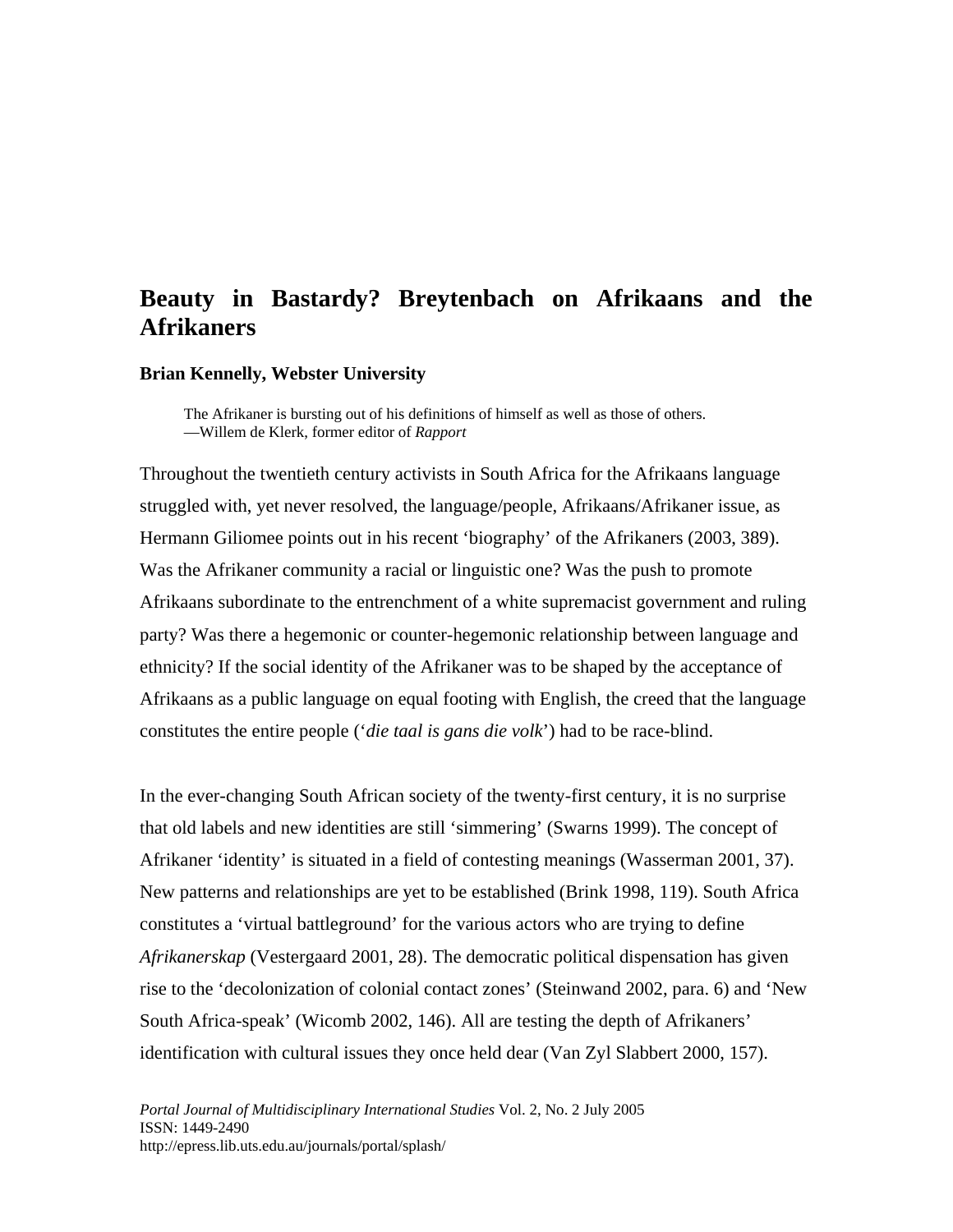# **Beauty in Bastardy? Breytenbach on Afrikaans and the Afrikaners**

#### **Brian Kennelly, Webster University**

The Afrikaner is bursting out of his definitions of himself as well as those of others. —Willem de Klerk, former editor of *Rapport* 

Throughout the twentieth century activists in South Africa for the Afrikaans language struggled with, yet never resolved, the language/people, Afrikaans/Afrikaner issue, as Hermann Giliomee points out in his recent 'biography' of the Afrikaners (2003, 389). Was the Afrikaner community a racial or linguistic one? Was the push to promote Afrikaans subordinate to the entrenchment of a white supremacist government and ruling party? Was there a hegemonic or counter-hegemonic relationship between language and ethnicity? If the social identity of the Afrikaner was to be shaped by the acceptance of Afrikaans as a public language on equal footing with English, the creed that the language constitutes the entire people ('*die taal is gans die volk*') had to be race-blind.

In the ever-changing South African society of the twenty-first century, it is no surprise that old labels and new identities are still 'simmering' (Swarns 1999). The concept of Afrikaner 'identity' is situated in a field of contesting meanings (Wasserman 2001, 37). New patterns and relationships are yet to be established (Brink 1998, 119). South Africa constitutes a 'virtual battleground' for the various actors who are trying to define *Afrikanerskap* (Vestergaard 2001, 28). The democratic political dispensation has given rise to the 'decolonization of colonial contact zones' (Steinwand 2002, para. 6) and 'New South Africa-speak' (Wicomb 2002, 146). All are testing the depth of Afrikaners' identification with cultural issues they once held dear (Van Zyl Slabbert 2000, 157).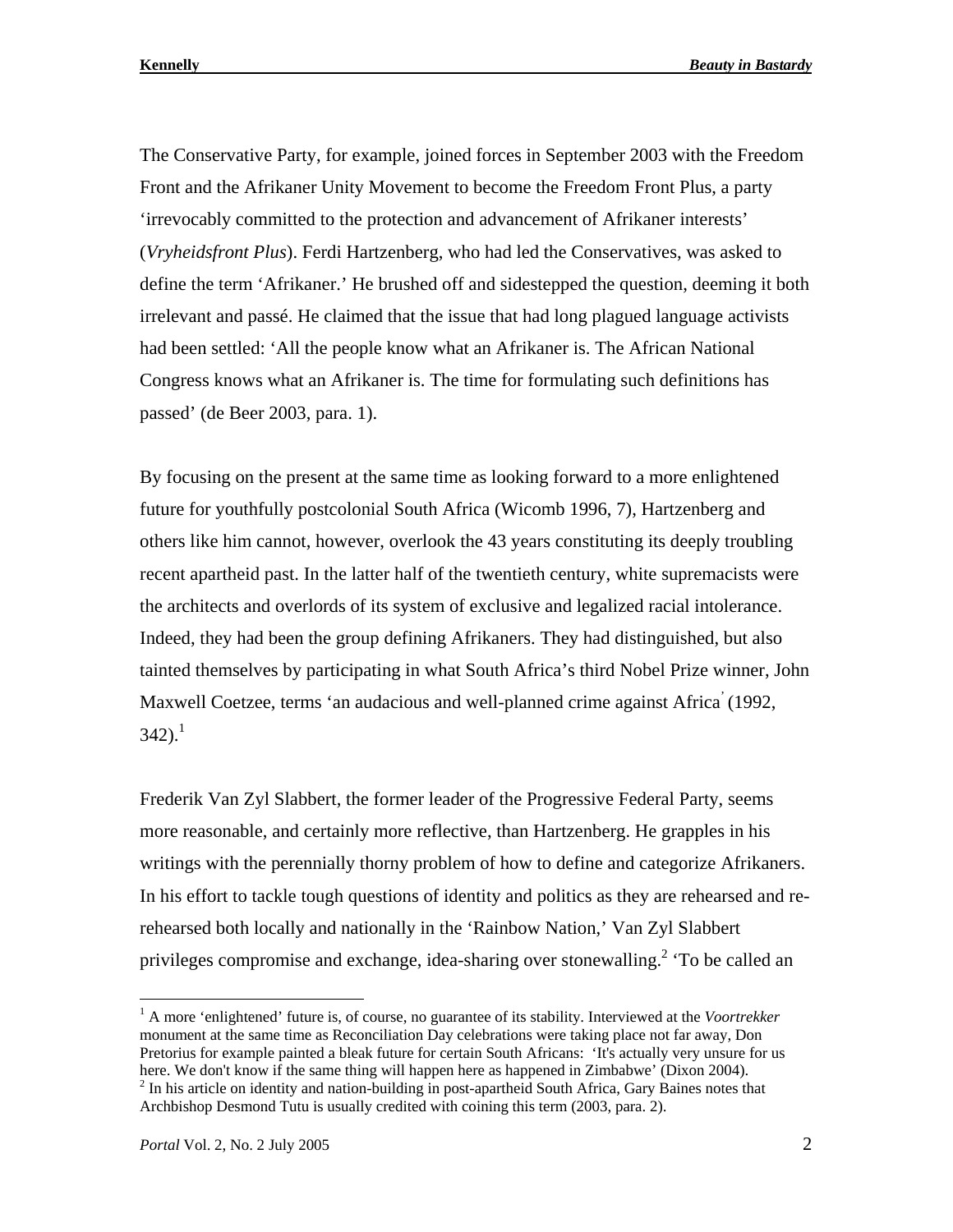The Conservative Party, for example, joined forces in September 2003 with the Freedom Front and the Afrikaner Unity Movement to become the Freedom Front Plus, a party 'irrevocably committed to the protection and advancement of Afrikaner interests' (*Vryheidsfront Plus*). Ferdi Hartzenberg, who had led the Conservatives, was asked to define the term 'Afrikaner.' He brushed off and sidestepped the question, deeming it both irrelevant and passé. He claimed that the issue that had long plagued language activists had been settled: 'All the people know what an Afrikaner is. The African National Congress knows what an Afrikaner is. The time for formulating such definitions has passed' (de Beer 2003, para. 1).

By focusing on the present at the same time as looking forward to a more enlightened future for youthfully postcolonial South Africa (Wicomb 1996, 7), Hartzenberg and others like him cannot, however, overlook the 43 years constituting its deeply troubling recent apartheid past. In the latter half of the twentieth century, white supremacists were the architects and overlords of its system of exclusive and legalized racial intolerance. Indeed, they had been the group defining Afrikaners. They had distinguished, but also tainted themselves by participating in what South Africa's third Nobel Prize winner, John Maxwell Coetzee, terms 'an audacious and well-planned crime against Africa' (1992,  $342$ ).<sup>[1](#page-1-0)</sup>

Frederik Van Zyl Slabbert, the former leader of the Progressive Federal Party, seems more reasonable, and certainly more reflective, than Hartzenberg. He grapples in his writings with the perennially thorny problem of how to define and categorize Afrikaners. In his effort to tackle tough questions of identity and politics as they are rehearsed and rerehearsed both locally and nationally in the 'Rainbow Nation,' Van Zyl Slabbert privileges compromise and exchange, idea-sharing over stonewalling.<sup>2</sup> 'To be called an

<span id="page-1-0"></span> $\overline{a}$ <sup>1</sup> A more 'enlightened' future is, of course, no guarantee of its stability. Interviewed at the *Voortrekker* monument at the same time as Reconciliation Day celebrations were taking place not far away, Don Pretorius for example painted a bleak future for certain South Africans: 'It's actually very unsure for us here. We don't know if the same thing will happen here as happened in Zimbabwe' (Dixon 2004).

<span id="page-1-1"></span> $2$  In his article on identity and nation-building in post-apartheid South Africa, Gary Baines notes that Archbishop Desmond Tutu is usually credited with coining this term (2003, para. 2).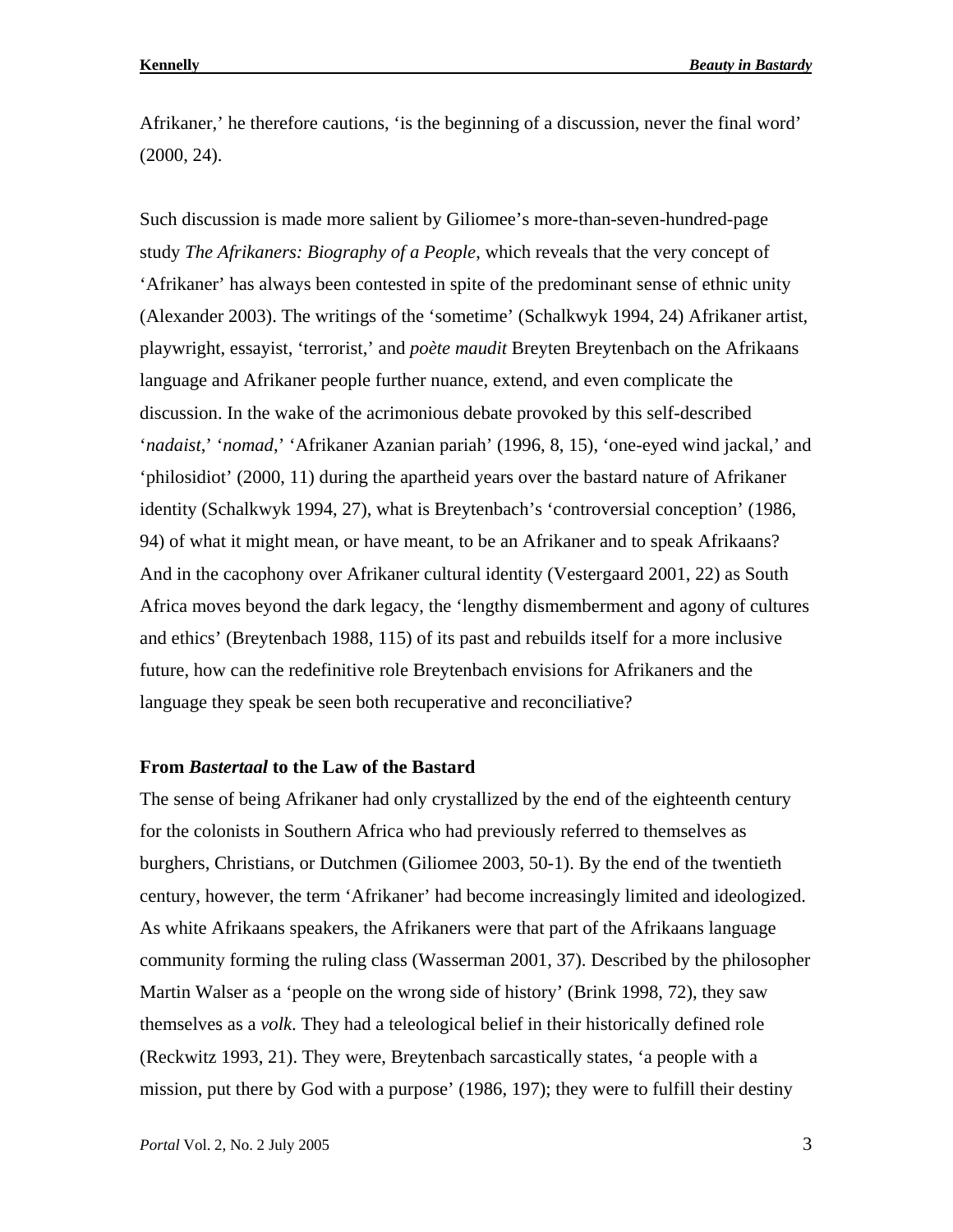Afrikaner,' he therefore cautions, 'is the beginning of a discussion, never the final word' (2000, 24).

Such discussion is made more salient by Giliomee's more-than-seven-hundred-page study *The Afrikaners: Biography of a People*, which reveals that the very concept of 'Afrikaner' has always been contested in spite of the predominant sense of ethnic unity (Alexander 2003). The writings of the 'sometime' (Schalkwyk 1994, 24) Afrikaner artist, playwright, essayist, 'terrorist,' and *poète maudit* Breyten Breytenbach on the Afrikaans language and Afrikaner people further nuance, extend, and even complicate the discussion. In the wake of the acrimonious debate provoked by this self-described '*nadaist*,' '*nomad*,' 'Afrikaner Azanian pariah' (1996, 8, 15), 'one-eyed wind jackal,' and 'philosidiot' (2000, 11) during the apartheid years over the bastard nature of Afrikaner identity (Schalkwyk 1994, 27), what is Breytenbach's 'controversial conception' (1986, 94) of what it might mean, or have meant, to be an Afrikaner and to speak Afrikaans? And in the cacophony over Afrikaner cultural identity (Vestergaard 2001, 22) as South Africa moves beyond the dark legacy, the 'lengthy dismemberment and agony of cultures and ethics' (Breytenbach 1988, 115) of its past and rebuilds itself for a more inclusive future, how can the redefinitive role Breytenbach envisions for Afrikaners and the language they speak be seen both recuperative and reconciliative?

#### **From** *Bastertaal* **to the Law of the Bastard**

The sense of being Afrikaner had only crystallized by the end of the eighteenth century for the colonists in Southern Africa who had previously referred to themselves as burghers, Christians, or Dutchmen (Giliomee 2003, 50-1). By the end of the twentieth century, however, the term 'Afrikaner' had become increasingly limited and ideologized. As white Afrikaans speakers, the Afrikaners were that part of the Afrikaans language community forming the ruling class (Wasserman 2001, 37). Described by the philosopher Martin Walser as a 'people on the wrong side of history' (Brink 1998, 72), they saw themselves as a *volk*. They had a teleological belief in their historically defined role (Reckwitz 1993, 21). They were, Breytenbach sarcastically states, 'a people with a mission, put there by God with a purpose' (1986, 197); they were to fulfill their destiny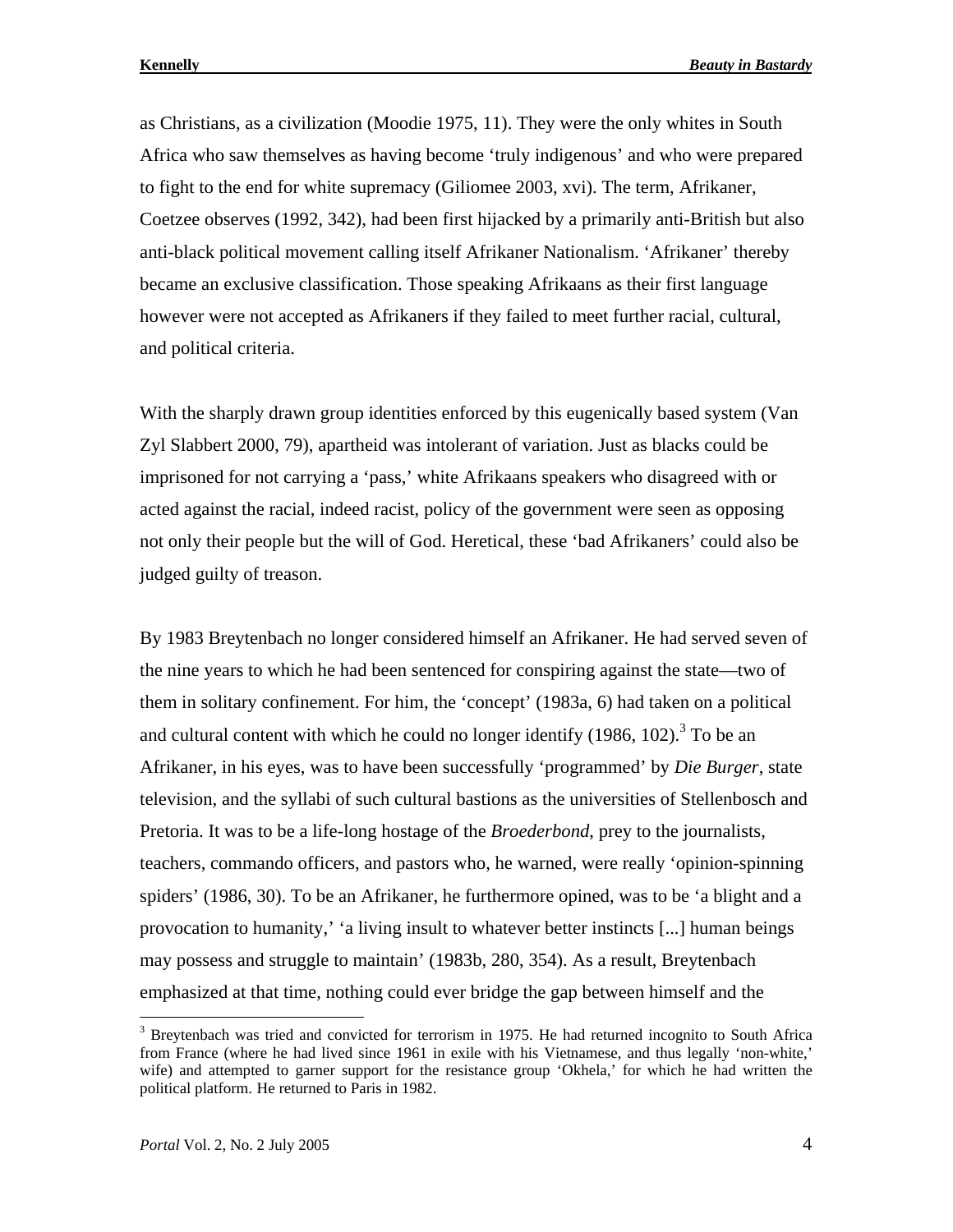as Christians, as a civilization (Moodie 1975, 11). They were the only whites in South Africa who saw themselves as having become 'truly indigenous' and who were prepared to fight to the end for white supremacy (Giliomee 2003, xvi). The term, Afrikaner, Coetzee observes (1992, 342), had been first hijacked by a primarily anti-British but also anti-black political movement calling itself Afrikaner Nationalism. 'Afrikaner' thereby became an exclusive classification. Those speaking Afrikaans as their first language however were not accepted as Afrikaners if they failed to meet further racial, cultural, and political criteria.

With the sharply drawn group identities enforced by this eugenically based system (Van Zyl Slabbert 2000, 79), apartheid was intolerant of variation. Just as blacks could be imprisoned for not carrying a 'pass,' white Afrikaans speakers who disagreed with or acted against the racial, indeed racist, policy of the government were seen as opposing not only their people but the will of God. Heretical, these 'bad Afrikaners' could also be judged guilty of treason.

By 1983 Breytenbach no longer considered himself an Afrikaner. He had served seven of the nine years to which he had been sentenced for conspiring against the state—two of them in solitary confinement. For him, the 'concept' (1983a, 6) had taken on a political and cultural content with which he could no longer identify  $(1986, 102)$ .<sup>[3](#page-3-0)</sup> To be an Afrikaner, in his eyes, was to have been successfully 'programmed' by *Die Burger*, state television, and the syllabi of such cultural bastions as the universities of Stellenbosch and Pretoria. It was to be a life-long hostage of the *Broederbond*, prey to the journalists, teachers, commando officers, and pastors who, he warned, were really 'opinion-spinning spiders' (1986, 30). To be an Afrikaner, he furthermore opined, was to be 'a blight and a provocation to humanity,' 'a living insult to whatever better instincts [...] human beings may possess and struggle to maintain' (1983b, 280, 354). As a result, Breytenbach emphasized at that time, nothing could ever bridge the gap between himself and the

<span id="page-3-0"></span><sup>&</sup>lt;sup>3</sup> Breytenbach was tried and convicted for terrorism in 1975. He had returned incognito to South Africa from France (where he had lived since 1961 in exile with his Vietnamese, and thus legally 'non-white,' wife) and attempted to garner support for the resistance group 'Okhela,' for which he had written the political platform. He returned to Paris in 1982.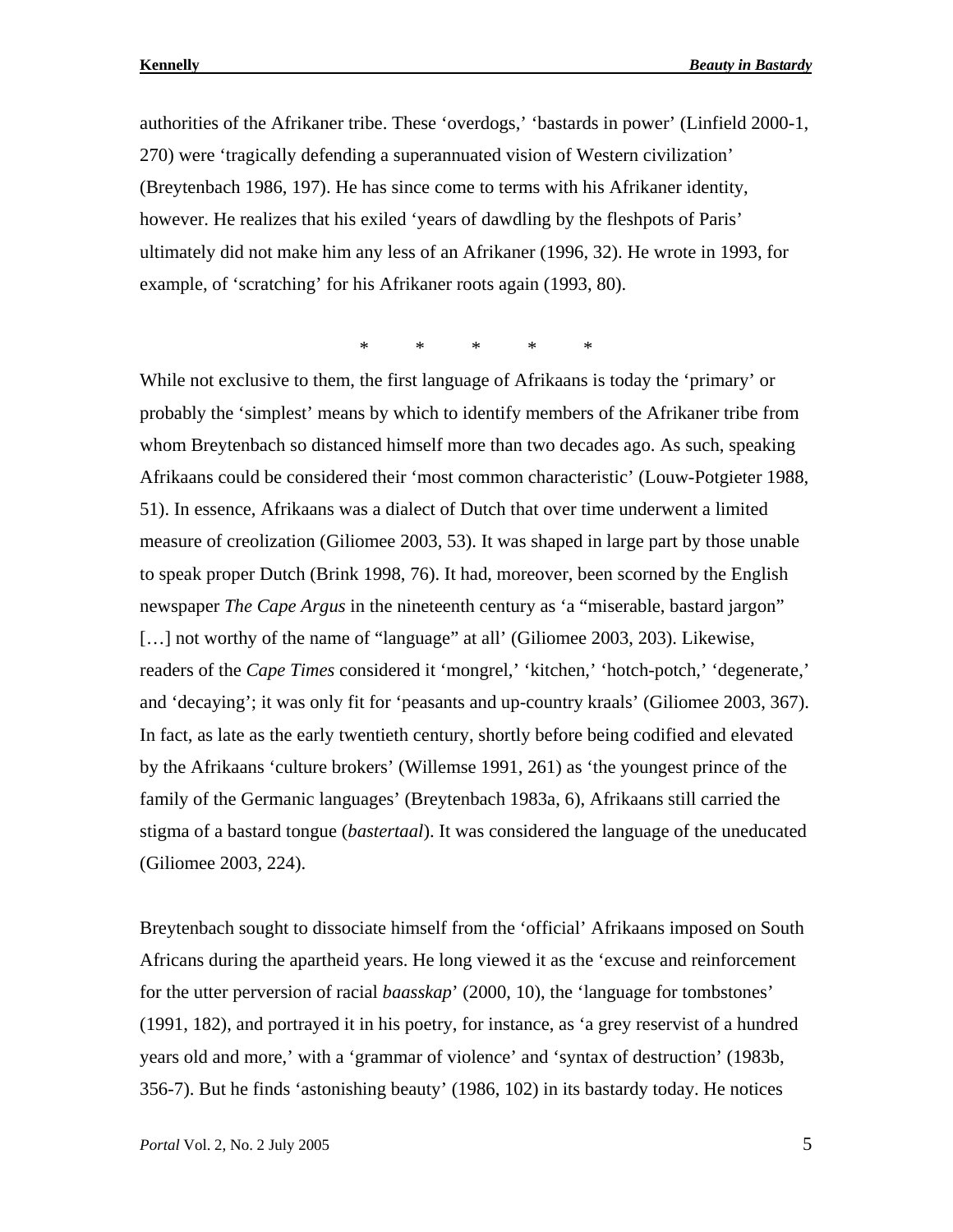authorities of the Afrikaner tribe. These 'overdogs,' 'bastards in power' (Linfield 2000-1, 270) were 'tragically defending a superannuated vision of Western civilization' (Breytenbach 1986, 197). He has since come to terms with his Afrikaner identity, however. He realizes that his exiled 'years of dawdling by the fleshpots of Paris' ultimately did not make him any less of an Afrikaner (1996, 32). He wrote in 1993, for example, of 'scratching' for his Afrikaner roots again (1993, 80).

\* \* \* \* \*

While not exclusive to them, the first language of Afrikaans is today the 'primary' or probably the 'simplest' means by which to identify members of the Afrikaner tribe from whom Breytenbach so distanced himself more than two decades ago. As such, speaking Afrikaans could be considered their 'most common characteristic' (Louw-Potgieter 1988, 51). In essence, Afrikaans was a dialect of Dutch that over time underwent a limited measure of creolization (Giliomee 2003, 53). It was shaped in large part by those unable to speak proper Dutch (Brink 1998, 76). It had, moreover, been scorned by the English newspaper *The Cape Argus* in the nineteenth century as 'a "miserable, bastard jargon" [...] not worthy of the name of "language" at all' (Giliomee 2003, 203). Likewise, readers of the *Cape Times* considered it 'mongrel,' 'kitchen,' 'hotch-potch,' 'degenerate,' and 'decaying'; it was only fit for 'peasants and up-country kraals' (Giliomee 2003, 367). In fact, as late as the early twentieth century, shortly before being codified and elevated by the Afrikaans 'culture brokers' (Willemse 1991, 261) as 'the youngest prince of the family of the Germanic languages' (Breytenbach 1983a, 6), Afrikaans still carried the stigma of a bastard tongue (*bastertaal*). It was considered the language of the uneducated (Giliomee 2003, 224).

Breytenbach sought to dissociate himself from the 'official' Afrikaans imposed on South Africans during the apartheid years. He long viewed it as the 'excuse and reinforcement for the utter perversion of racial *baasskap*' (2000, 10), the 'language for tombstones' (1991, 182), and portrayed it in his poetry, for instance, as 'a grey reservist of a hundred years old and more,' with a 'grammar of violence' and 'syntax of destruction' (1983b, 356-7). But he finds 'astonishing beauty' (1986, 102) in its bastardy today. He notices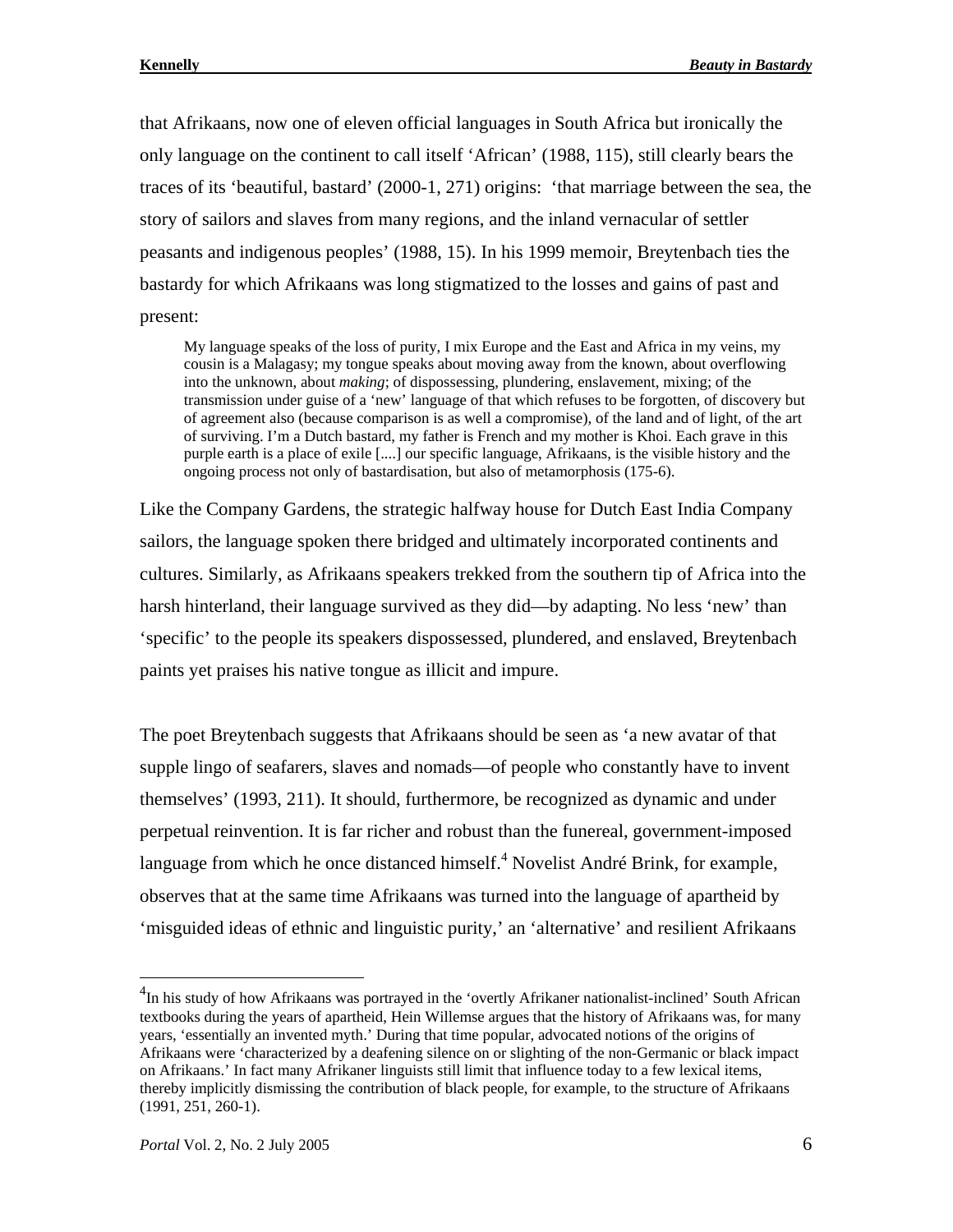that Afrikaans, now one of eleven official languages in South Africa but ironically the only language on the continent to call itself 'African' (1988, 115), still clearly bears the traces of its 'beautiful, bastard' (2000-1, 271) origins: 'that marriage between the sea, the story of sailors and slaves from many regions, and the inland vernacular of settler peasants and indigenous peoples' (1988, 15). In his 1999 memoir, Breytenbach ties the bastardy for which Afrikaans was long stigmatized to the losses and gains of past and present:

My language speaks of the loss of purity, I mix Europe and the East and Africa in my veins, my cousin is a Malagasy; my tongue speaks about moving away from the known, about overflowing into the unknown, about *making*; of dispossessing, plundering, enslavement, mixing; of the transmission under guise of a 'new' language of that which refuses to be forgotten, of discovery but of agreement also (because comparison is as well a compromise), of the land and of light, of the art of surviving. I'm a Dutch bastard, my father is French and my mother is Khoi. Each grave in this purple earth is a place of exile [....] our specific language, Afrikaans, is the visible history and the ongoing process not only of bastardisation, but also of metamorphosis (175-6).

Like the Company Gardens, the strategic halfway house for Dutch East India Company sailors, the language spoken there bridged and ultimately incorporated continents and cultures. Similarly, as Afrikaans speakers trekked from the southern tip of Africa into the harsh hinterland, their language survived as they did—by adapting. No less 'new' than 'specific' to the people its speakers dispossessed, plundered, and enslaved, Breytenbach paints yet praises his native tongue as illicit and impure.

The poet Breytenbach suggests that Afrikaans should be seen as 'a new avatar of that supple lingo of seafarers, slaves and nomads—of people who constantly have to invent themselves' (1993, 211). It should, furthermore, be recognized as dynamic and under perpetual reinvention. It is far richer and robust than the funereal, government-imposed languagefrom which he once distanced himself.<sup>4</sup> Novelist André Brink, for example, observes that at the same time Afrikaans was turned into the language of apartheid by 'misguided ideas of ethnic and linguistic purity,' an 'alternative' and resilient Afrikaans

<span id="page-5-0"></span><sup>&</sup>lt;sup>4</sup>In his study of how Afrikaans was portrayed in the 'overtly Afrikaner nationalist-inclined' South African textbooks during the years of apartheid, Hein Willemse argues that the history of Afrikaans was, for many years, 'essentially an invented myth.' During that time popular, advocated notions of the origins of Afrikaans were 'characterized by a deafening silence on or slighting of the non-Germanic or black impact on Afrikaans.' In fact many Afrikaner linguists still limit that influence today to a few lexical items, thereby implicitly dismissing the contribution of black people, for example, to the structure of Afrikaans (1991, 251, 260-1).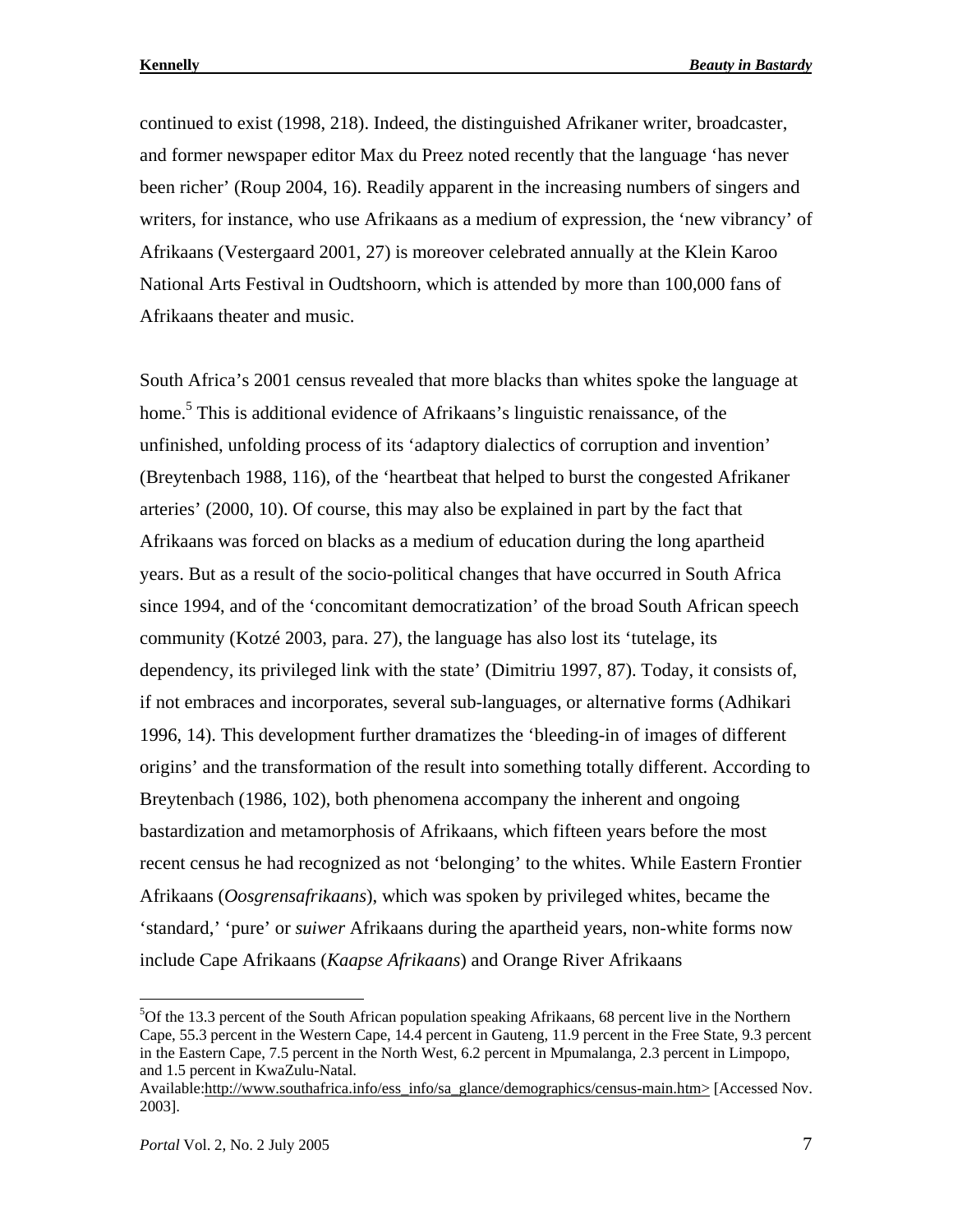continued to exist (1998, 218). Indeed, the distinguished Afrikaner writer, broadcaster, and former newspaper editor Max du Preez noted recently that the language 'has never been richer' (Roup 2004, 16). Readily apparent in the increasing numbers of singers and writers, for instance, who use Afrikaans as a medium of expression, the 'new vibrancy' of Afrikaans (Vestergaard 2001, 27) is moreover celebrated annually at the Klein Karoo National Arts Festival in Oudtshoorn, which is attended by more than 100,000 fans of Afrikaans theater and music.

South Africa's 2001 census revealed that more blacks than whites spoke the language at home.<sup>5</sup> [T](#page-6-0)his is additional evidence of Afrikaans's linguistic renaissance, of the unfinished, unfolding process of its 'adaptory dialectics of corruption and invention' (Breytenbach 1988, 116), of the 'heartbeat that helped to burst the congested Afrikaner arteries' (2000, 10). Of course, this may also be explained in part by the fact that Afrikaans was forced on blacks as a medium of education during the long apartheid years. But as a result of the socio-political changes that have occurred in South Africa since 1994, and of the 'concomitant democratization' of the broad South African speech community (Kotzé 2003, para. 27), the language has also lost its 'tutelage, its dependency, its privileged link with the state' (Dimitriu 1997, 87). Today, it consists of, if not embraces and incorporates, several sub-languages, or alternative forms (Adhikari 1996, 14). This development further dramatizes the 'bleeding-in of images of different origins' and the transformation of the result into something totally different. According to Breytenbach (1986, 102), both phenomena accompany the inherent and ongoing bastardization and metamorphosis of Afrikaans, which fifteen years before the most recent census he had recognized as not 'belonging' to the whites. While Eastern Frontier Afrikaans (*Oosgrensafrikaans*), which was spoken by privileged whites, became the 'standard,' 'pure' or *suiwer* Afrikaans during the apartheid years, non-white forms now include Cape Afrikaans (*Kaapse Afrikaans*) and Orange River Afrikaans

<span id="page-6-0"></span><sup>&</sup>lt;sup>5</sup>Of the 13.3 percent of the South African population speaking Afrikaans, 68 percent live in the Northern Cape, 55.3 percent in the Western Cape, 14.4 percent in Gauteng, 11.9 percent in the Free State, 9.3 percent in the Eastern Cape, 7.5 percent in the North West, 6.2 percent in Mpumalanga, 2.3 percent in Limpopo, and 1.5 percent in KwaZulu-Natal.

Available:[http://www.southafrica.info/ess\\_info/sa\\_glance/demographics/census-main.htm>](http://www.southafrica.info/ess_info/sa_glance/demographics/census-main.htm>) [Accessed Nov. 2003].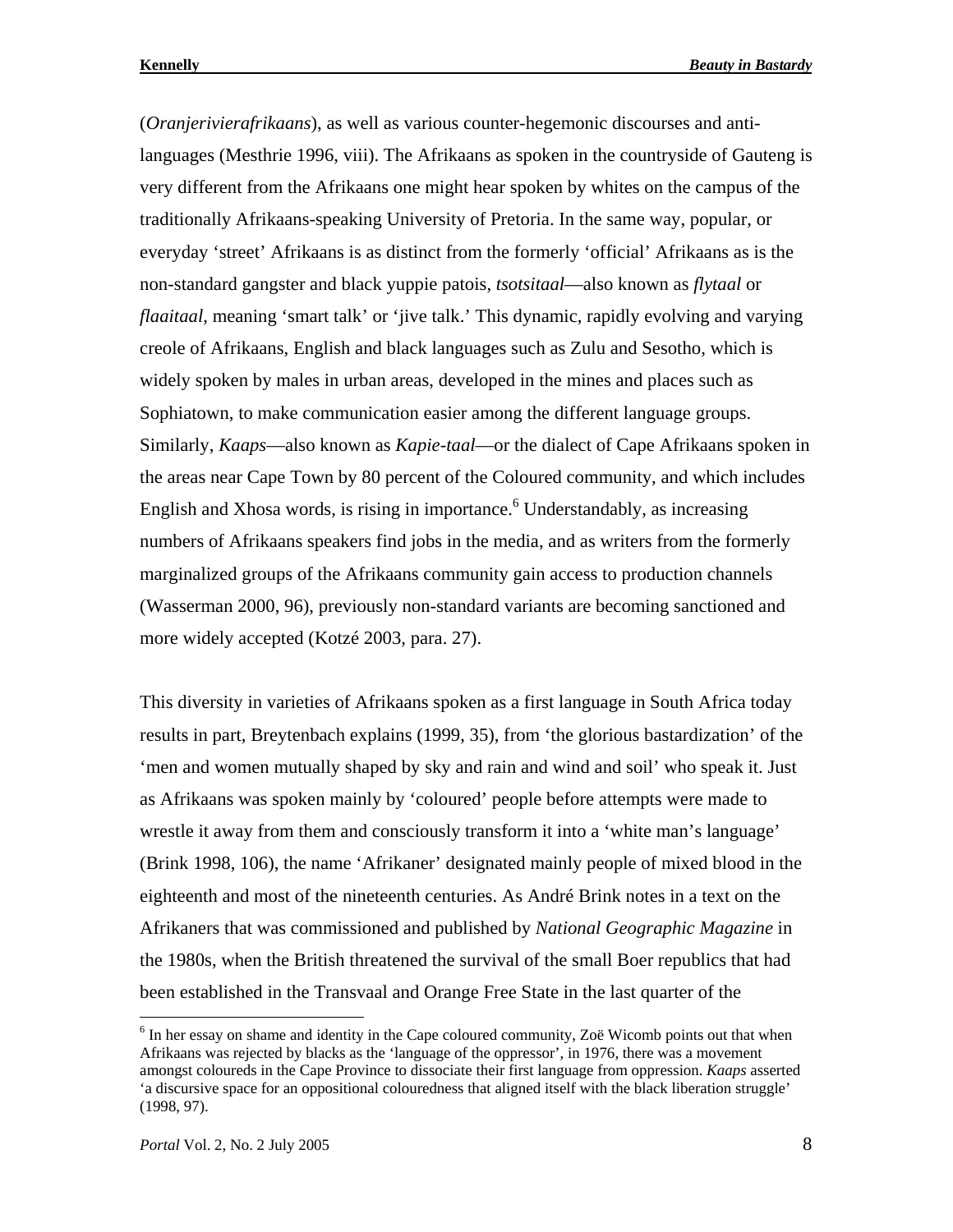(*Oranjerivierafrikaans*), as well as various counter-hegemonic discourses and antilanguages (Mesthrie 1996, viii). The Afrikaans as spoken in the countryside of Gauteng is very different from the Afrikaans one might hear spoken by whites on the campus of the traditionally Afrikaans-speaking University of Pretoria. In the same way, popular, or everyday 'street' Afrikaans is as distinct from the formerly 'official' Afrikaans as is the non-standard gangster and black yuppie patois, *tsotsitaal*—also known as *flytaal* or *flaaitaal*, meaning 'smart talk' or 'jive talk.' This dynamic, rapidly evolving and varying creole of Afrikaans, English and black languages such as Zulu and Sesotho, which is widely spoken by males in urban areas, developed in the mines and places such as Sophiatown, to make communication easier among the different language groups. Similarly, *Kaaps*—also known as *Kapie-taal*—or the dialect of Cape Afrikaans spoken in the areas near Cape Town by 80 percent of the Coloured community, and which includes English and Xhosa words, is rising in importance.<sup>[6](#page-7-0)</sup> Understandably, as increasing numbers of Afrikaans speakers find jobs in the media, and as writers from the formerly marginalized groups of the Afrikaans community gain access to production channels (Wasserman 2000, 96), previously non-standard variants are becoming sanctioned and more widely accepted (Kotzé 2003, para. 27).

This diversity in varieties of Afrikaans spoken as a first language in South Africa today results in part, Breytenbach explains (1999, 35), from 'the glorious bastardization' of the 'men and women mutually shaped by sky and rain and wind and soil' who speak it. Just as Afrikaans was spoken mainly by 'coloured' people before attempts were made to wrestle it away from them and consciously transform it into a 'white man's language' (Brink 1998, 106), the name 'Afrikaner' designated mainly people of mixed blood in the eighteenth and most of the nineteenth centuries. As André Brink notes in a text on the Afrikaners that was commissioned and published by *National Geographic Magazine* in the 1980s, when the British threatened the survival of the small Boer republics that had been established in the Transvaal and Orange Free State in the last quarter of the

<span id="page-7-0"></span><sup>&</sup>lt;sup>6</sup> In her essay on shame and identity in the Cape coloured community, Zoë Wicomb points out that when Afrikaans was rejected by blacks as the 'language of the oppressor', in 1976, there was a movement amongst coloureds in the Cape Province to dissociate their first language from oppression. *Kaaps* asserted 'a discursive space for an oppositional colouredness that aligned itself with the black liberation struggle' (1998, 97).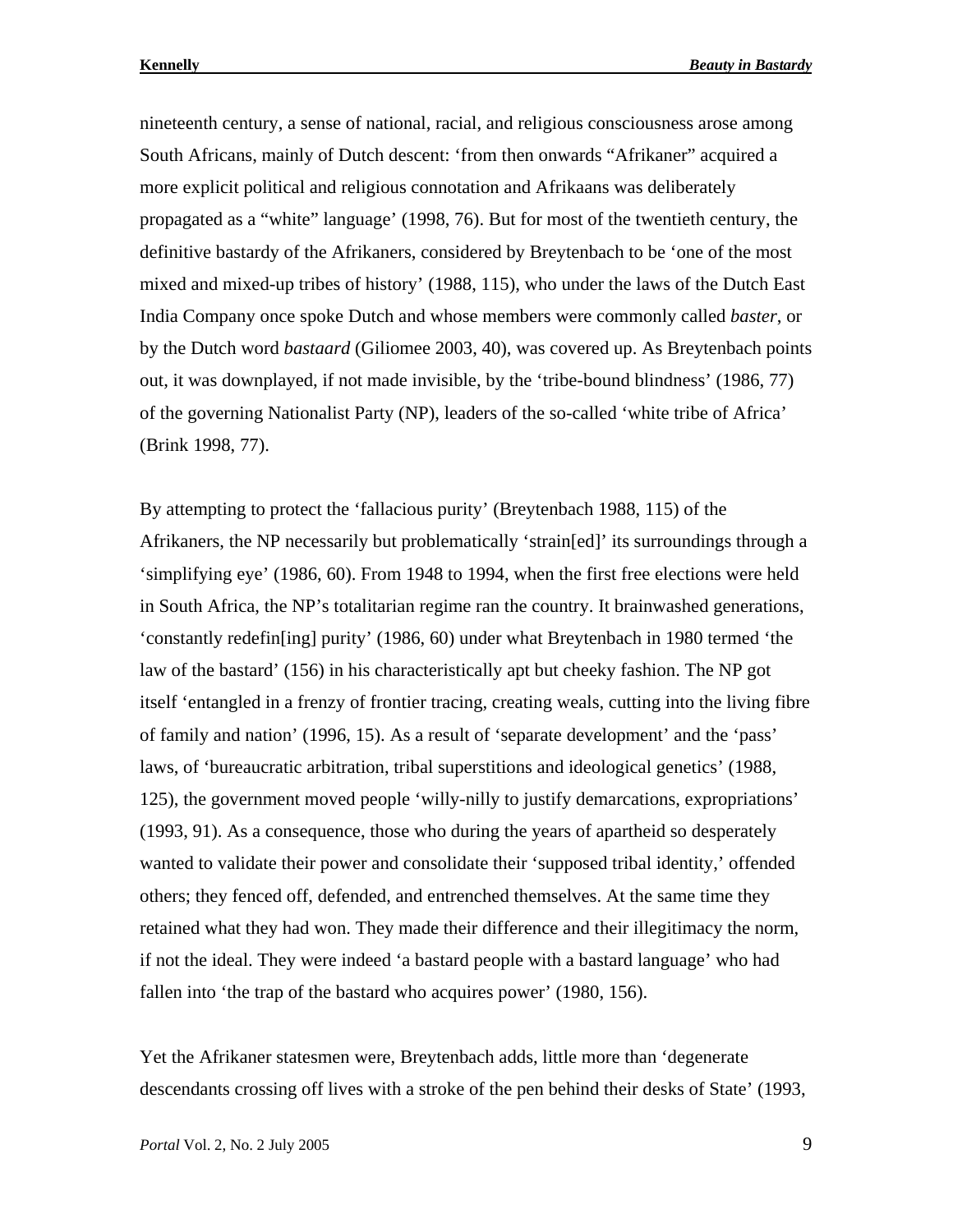nineteenth century, a sense of national, racial, and religious consciousness arose among South Africans, mainly of Dutch descent: 'from then onwards "Afrikaner" acquired a more explicit political and religious connotation and Afrikaans was deliberately propagated as a "white" language' (1998, 76). But for most of the twentieth century, the definitive bastardy of the Afrikaners, considered by Breytenbach to be 'one of the most mixed and mixed-up tribes of history' (1988, 115), who under the laws of the Dutch East India Company once spoke Dutch and whose members were commonly called *baster*, or by the Dutch word *bastaard* (Giliomee 2003, 40), was covered up. As Breytenbach points out, it was downplayed, if not made invisible, by the 'tribe-bound blindness' (1986, 77) of the governing Nationalist Party (NP), leaders of the so-called 'white tribe of Africa' (Brink 1998, 77).

By attempting to protect the 'fallacious purity' (Breytenbach 1988, 115) of the Afrikaners, the NP necessarily but problematically 'strain[ed]' its surroundings through a 'simplifying eye' (1986, 60). From 1948 to 1994, when the first free elections were held in South Africa, the NP's totalitarian regime ran the country. It brainwashed generations, 'constantly redefin[ing] purity' (1986, 60) under what Breytenbach in 1980 termed 'the law of the bastard' (156) in his characteristically apt but cheeky fashion. The NP got itself 'entangled in a frenzy of frontier tracing, creating weals, cutting into the living fibre of family and nation' (1996, 15). As a result of 'separate development' and the 'pass' laws, of 'bureaucratic arbitration, tribal superstitions and ideological genetics' (1988, 125), the government moved people 'willy-nilly to justify demarcations, expropriations' (1993, 91). As a consequence, those who during the years of apartheid so desperately wanted to validate their power and consolidate their 'supposed tribal identity,' offended others; they fenced off, defended, and entrenched themselves. At the same time they retained what they had won. They made their difference and their illegitimacy the norm, if not the ideal. They were indeed 'a bastard people with a bastard language' who had fallen into 'the trap of the bastard who acquires power' (1980, 156).

Yet the Afrikaner statesmen were, Breytenbach adds, little more than 'degenerate descendants crossing off lives with a stroke of the pen behind their desks of State' (1993,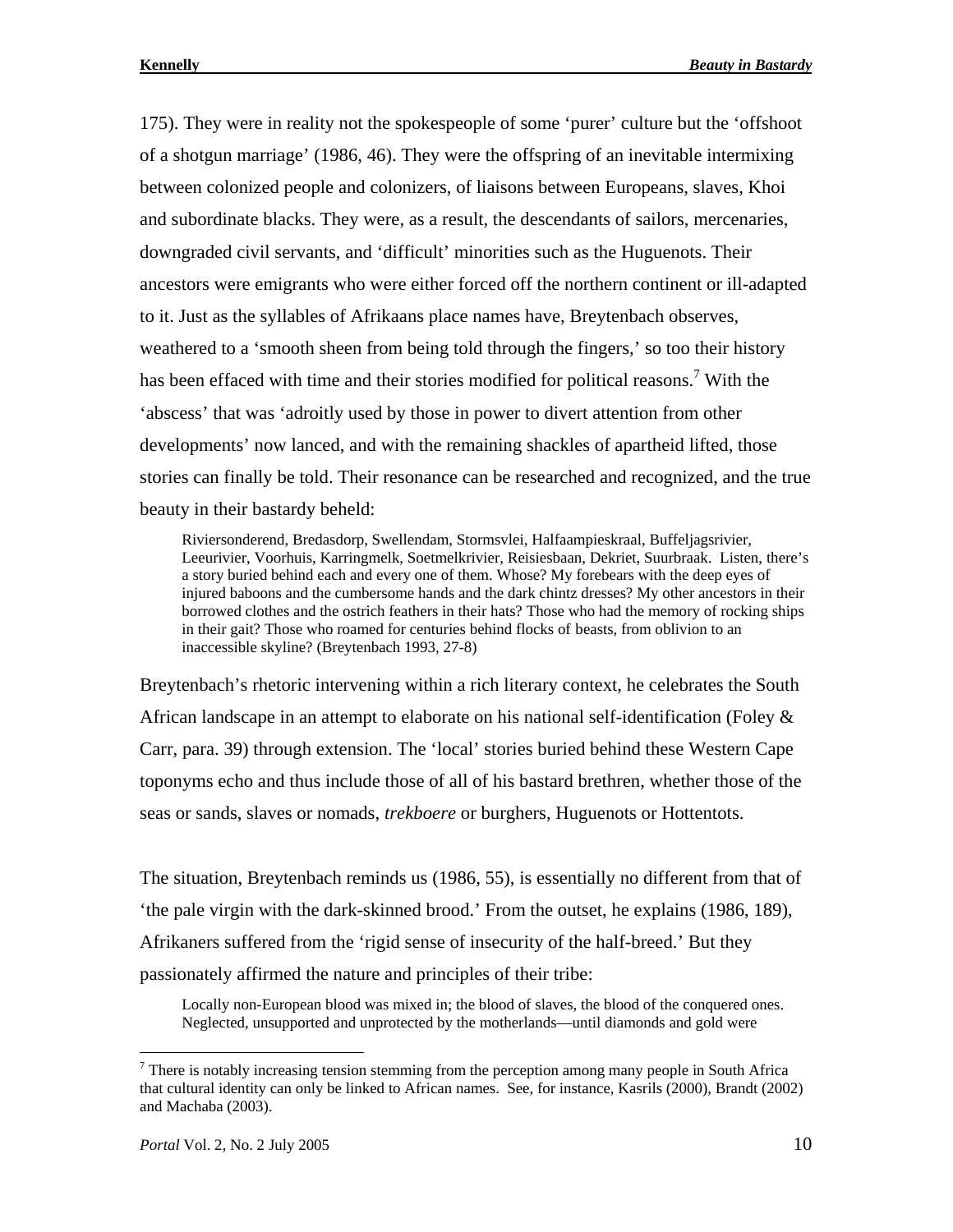175). They were in reality not the spokespeople of some 'purer' culture but the 'offshoot of a shotgun marriage' (1986, 46). They were the offspring of an inevitable intermixing between colonized people and colonizers, of liaisons between Europeans, slaves, Khoi and subordinate blacks. They were, as a result, the descendants of sailors, mercenaries, downgraded civil servants, and 'difficult' minorities such as the Huguenots. Their ancestors were emigrants who were either forced off the northern continent or ill-adapted to it. Just as the syllables of Afrikaans place names have, Breytenbach observes, weathered to a 'smooth sheen from being told through the fingers,' so too their history has been effaced with time and their stories modified for political reasons.<sup>7</sup> [W](#page-9-0)ith the 'abscess' that was 'adroitly used by those in power to divert attention from other developments' now lanced, and with the remaining shackles of apartheid lifted, those stories can finally be told. Their resonance can be researched and recognized, and the true beauty in their bastardy beheld:

Riviersonderend, Bredasdorp, Swellendam, Stormsvlei, Halfaampieskraal, Buffeljagsrivier, Leeurivier, Voorhuis, Karringmelk, Soetmelkrivier, Reisiesbaan, Dekriet, Suurbraak. Listen, there's a story buried behind each and every one of them. Whose? My forebears with the deep eyes of injured baboons and the cumbersome hands and the dark chintz dresses? My other ancestors in their borrowed clothes and the ostrich feathers in their hats? Those who had the memory of rocking ships in their gait? Those who roamed for centuries behind flocks of beasts, from oblivion to an inaccessible skyline? (Breytenbach 1993, 27-8)

Breytenbach's rhetoric intervening within a rich literary context, he celebrates the South African landscape in an attempt to elaborate on his national self-identification (Foley & Carr, para. 39) through extension. The 'local' stories buried behind these Western Cape toponyms echo and thus include those of all of his bastard brethren, whether those of the seas or sands, slaves or nomads, *trekboere* or burghers, Huguenots or Hottentots.

The situation, Breytenbach reminds us (1986, 55), is essentially no different from that of 'the pale virgin with the dark-skinned brood.' From the outset, he explains (1986, 189), Afrikaners suffered from the 'rigid sense of insecurity of the half-breed.' But they passionately affirmed the nature and principles of their tribe:

Locally non-European blood was mixed in; the blood of slaves, the blood of the conquered ones. Neglected, unsupported and unprotected by the motherlands—until diamonds and gold were

<span id="page-9-0"></span> $<sup>7</sup>$  There is notably increasing tension stemming from the perception among many people in South Africa</sup> that cultural identity can only be linked to African names. See, for instance, Kasrils (2000), Brandt (2002) and Machaba (2003).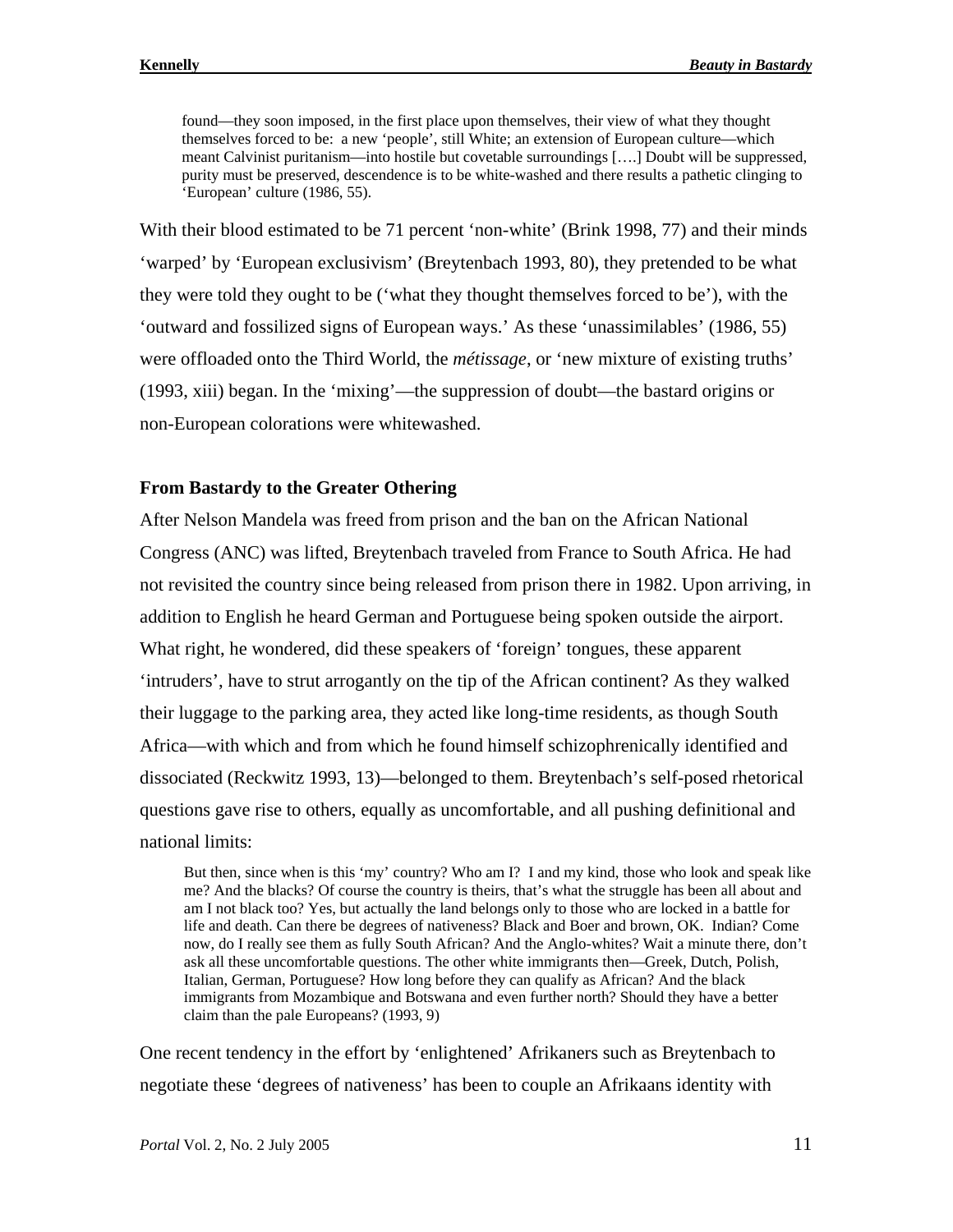found—they soon imposed, in the first place upon themselves, their view of what they thought themselves forced to be: a new 'people', still White; an extension of European culture—which meant Calvinist puritanism—into hostile but covetable surroundings [….] Doubt will be suppressed, purity must be preserved, descendence is to be white-washed and there results a pathetic clinging to 'European' culture (1986, 55).

With their blood estimated to be 71 percent 'non-white' (Brink 1998, 77) and their minds 'warped' by 'European exclusivism' (Breytenbach 1993, 80), they pretended to be what they were told they ought to be ('what they thought themselves forced to be'), with the 'outward and fossilized signs of European ways.' As these 'unassimilables' (1986, 55) were offloaded onto the Third World, the *métissage*, or 'new mixture of existing truths' (1993, xiii) began. In the 'mixing'—the suppression of doubt—the bastard origins or non-European colorations were whitewashed.

### **From Bastardy to the Greater Othering**

After Nelson Mandela was freed from prison and the ban on the African National Congress (ANC) was lifted, Breytenbach traveled from France to South Africa. He had not revisited the country since being released from prison there in 1982. Upon arriving, in addition to English he heard German and Portuguese being spoken outside the airport. What right, he wondered, did these speakers of 'foreign' tongues, these apparent 'intruders', have to strut arrogantly on the tip of the African continent? As they walked their luggage to the parking area, they acted like long-time residents, as though South Africa—with which and from which he found himself schizophrenically identified and dissociated (Reckwitz 1993, 13)—belonged to them. Breytenbach's self-posed rhetorical questions gave rise to others, equally as uncomfortable, and all pushing definitional and national limits:

But then, since when is this 'my' country? Who am I? I and my kind, those who look and speak like me? And the blacks? Of course the country is theirs, that's what the struggle has been all about and am I not black too? Yes, but actually the land belongs only to those who are locked in a battle for life and death. Can there be degrees of nativeness? Black and Boer and brown, OK. Indian? Come now, do I really see them as fully South African? And the Anglo-whites? Wait a minute there, don't ask all these uncomfortable questions. The other white immigrants then—Greek, Dutch, Polish, Italian, German, Portuguese? How long before they can qualify as African? And the black immigrants from Mozambique and Botswana and even further north? Should they have a better claim than the pale Europeans? (1993, 9)

One recent tendency in the effort by 'enlightened' Afrikaners such as Breytenbach to negotiate these 'degrees of nativeness' has been to couple an Afrikaans identity with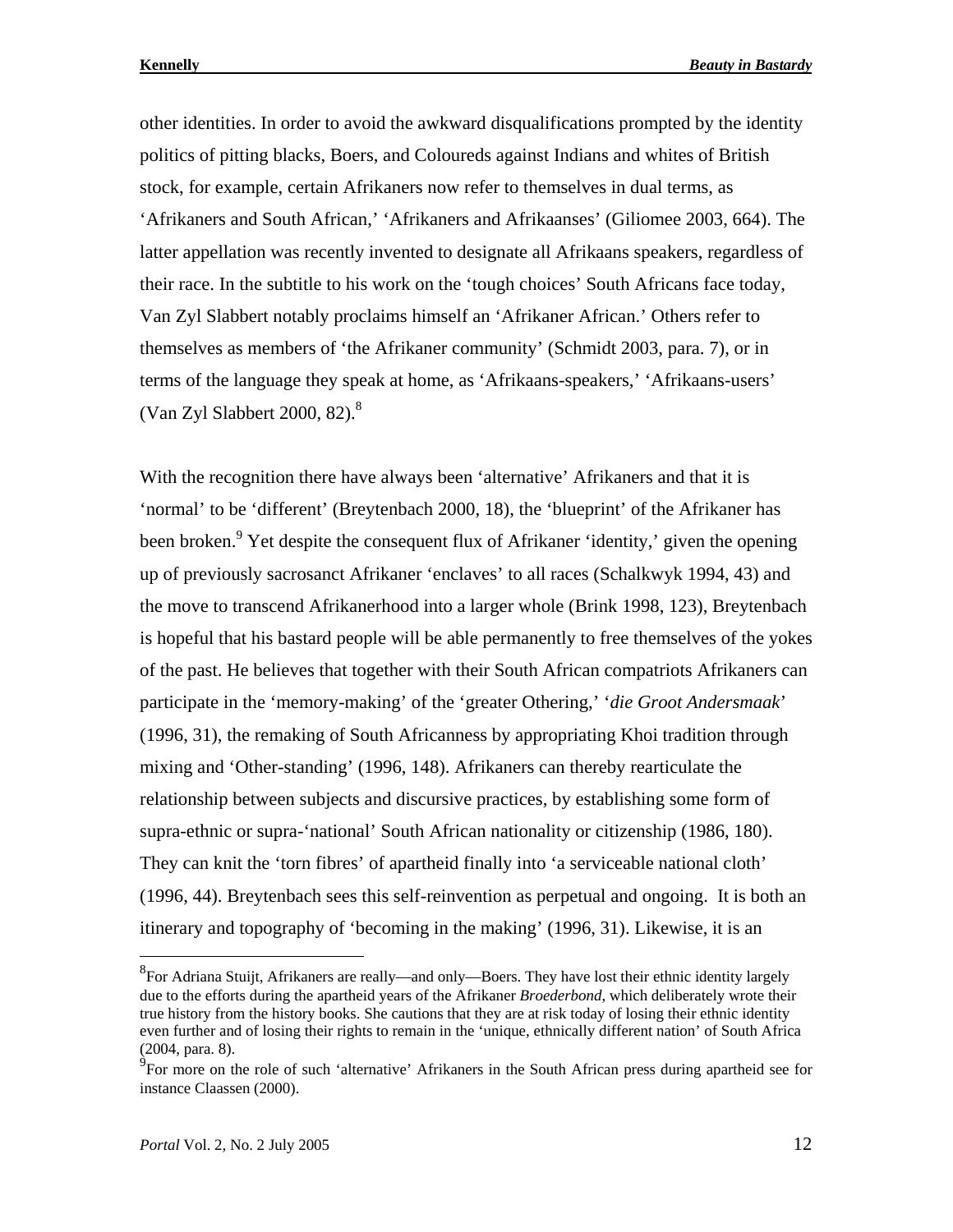other identities. In order to avoid the awkward disqualifications prompted by the identity politics of pitting blacks, Boers, and Coloureds against Indians and whites of British stock, for example, certain Afrikaners now refer to themselves in dual terms, as 'Afrikaners and South African,' 'Afrikaners and Afrikaanses' (Giliomee 2003, 664). The latter appellation was recently invented to designate all Afrikaans speakers, regardless of their race. In the subtitle to his work on the 'tough choices' South Africans face today, Van Zyl Slabbert notably proclaims himself an 'Afrikaner African.' Others refer to themselves as members of 'the Afrikaner community' (Schmidt 2003, para. 7), or in terms of the language they speak at home, as 'Afrikaans-speakers,' 'Afrikaans-users' (Van Zyl Slabbert 2000, [8](#page-11-0)2). $8^8$ 

With the recognition there have always been 'alternative' Afrikaners and that it is 'normal' to be 'different' (Breytenbach 2000, 18), the 'blueprint' of the Afrikaner has been broken.<sup>[9](#page-11-1)</sup> Yet despite the consequent flux of Afrikaner 'identity,' given the opening up of previously sacrosanct Afrikaner 'enclaves' to all races (Schalkwyk 1994, 43) and the move to transcend Afrikanerhood into a larger whole (Brink 1998, 123), Breytenbach is hopeful that his bastard people will be able permanently to free themselves of the yokes of the past. He believes that together with their South African compatriots Afrikaners can participate in the 'memory-making' of the 'greater Othering,' '*die Groot Andersmaak*' (1996, 31), the remaking of South Africanness by appropriating Khoi tradition through mixing and 'Other-standing' (1996, 148). Afrikaners can thereby rearticulate the relationship between subjects and discursive practices, by establishing some form of supra-ethnic or supra-'national' South African nationality or citizenship (1986, 180). They can knit the 'torn fibres' of apartheid finally into 'a serviceable national cloth' (1996, 44). Breytenbach sees this self-reinvention as perpetual and ongoing. It is both an itinerary and topography of 'becoming in the making' (1996, 31). Likewise, it is an

<span id="page-11-0"></span> ${}^{8}$ For Adriana Stuijt, Afrikaners are really—and only—Boers. They have lost their ethnic identity largely due to the efforts during the apartheid years of the Afrikaner *Broederbond*, which deliberately wrote their true history from the history books. She cautions that they are at risk today of losing their ethnic identity even further and of losing their rights to remain in the 'unique, ethnically different nation' of South Africa  $(2004, \text{para. } 8).$ 

<span id="page-11-1"></span>For more on the role of such 'alternative' Afrikaners in the South African press during apartheid see for instance Claassen (2000).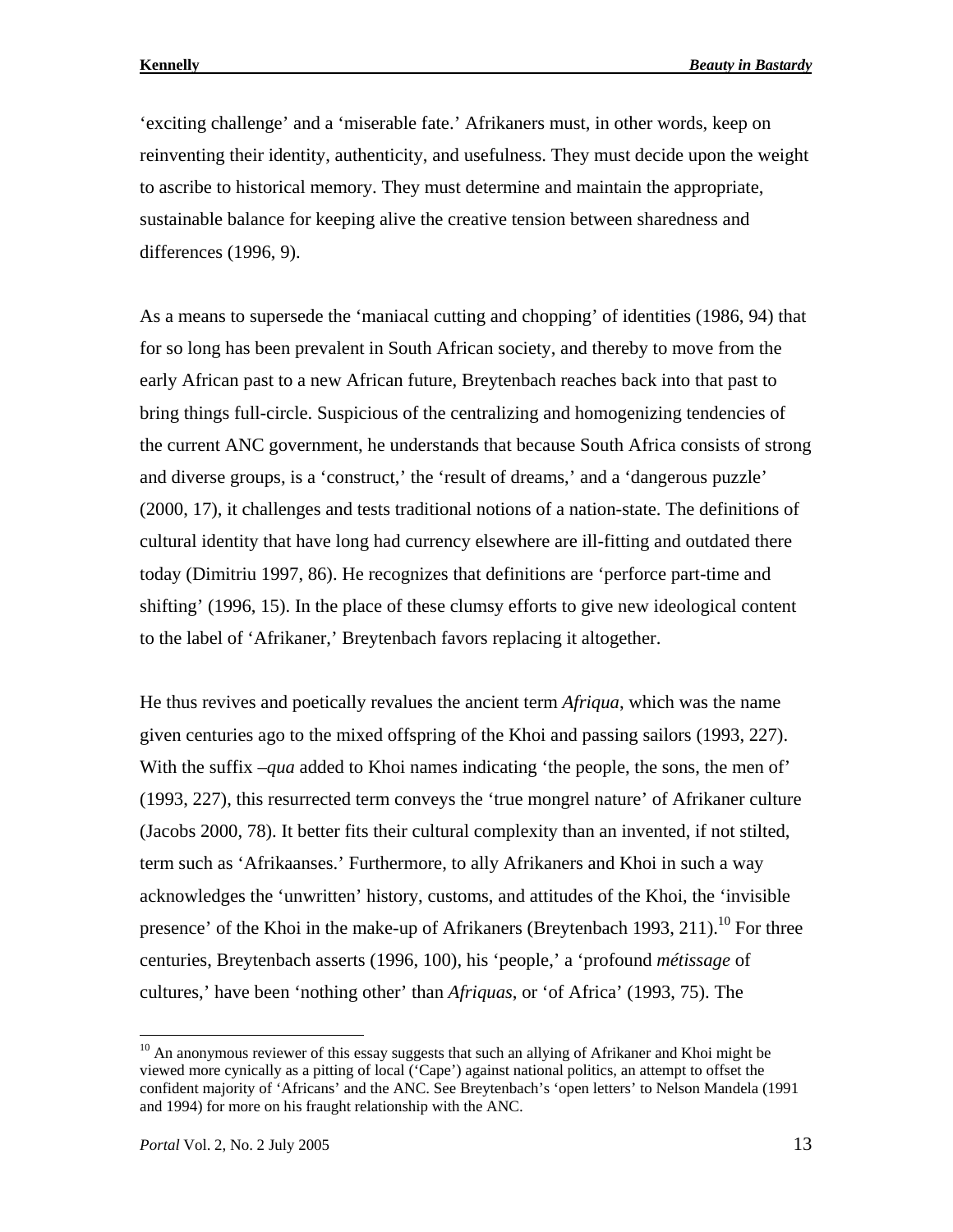'exciting challenge' and a 'miserable fate.' Afrikaners must, in other words, keep on reinventing their identity, authenticity, and usefulness. They must decide upon the weight to ascribe to historical memory. They must determine and maintain the appropriate, sustainable balance for keeping alive the creative tension between sharedness and differences (1996, 9).

As a means to supersede the 'maniacal cutting and chopping' of identities (1986, 94) that for so long has been prevalent in South African society, and thereby to move from the early African past to a new African future, Breytenbach reaches back into that past to bring things full-circle. Suspicious of the centralizing and homogenizing tendencies of the current ANC government, he understands that because South Africa consists of strong and diverse groups, is a 'construct,' the 'result of dreams,' and a 'dangerous puzzle' (2000, 17), it challenges and tests traditional notions of a nation-state. The definitions of cultural identity that have long had currency elsewhere are ill-fitting and outdated there today (Dimitriu 1997, 86). He recognizes that definitions are 'perforce part-time and shifting' (1996, 15). In the place of these clumsy efforts to give new ideological content to the label of 'Afrikaner,' Breytenbach favors replacing it altogether.

He thus revives and poetically revalues the ancient term *Afriqua*, which was the name given centuries ago to the mixed offspring of the Khoi and passing sailors (1993, 227). With the suffix *–qua* added to Khoi names indicating 'the people, the sons, the men of' (1993, 227), this resurrected term conveys the 'true mongrel nature' of Afrikaner culture (Jacobs 2000, 78). It better fits their cultural complexity than an invented, if not stilted, term such as 'Afrikaanses.' Furthermore, to ally Afrikaners and Khoi in such a way acknowledges the 'unwritten' history, customs, and attitudes of the Khoi, the 'invisible presence' of the Khoi in the make-up of Afrikaners (Breytenbach 1993, 211).<sup>10</sup> For three centuries, Breytenbach asserts (1996, 100), his 'people,' a 'profound *métissage* of cultures,' have been 'nothing other' than *Afriquas*, or 'of Africa' (1993, 75). The

<span id="page-12-0"></span> $10$  An anonymous reviewer of this essay suggests that such an allying of Afrikaner and Khoi might be viewed more cynically as a pitting of local ('Cape') against national politics, an attempt to offset the confident majority of 'Africans' and the ANC. See Breytenbach's 'open letters' to Nelson Mandela (1991 and 1994) for more on his fraught relationship with the ANC.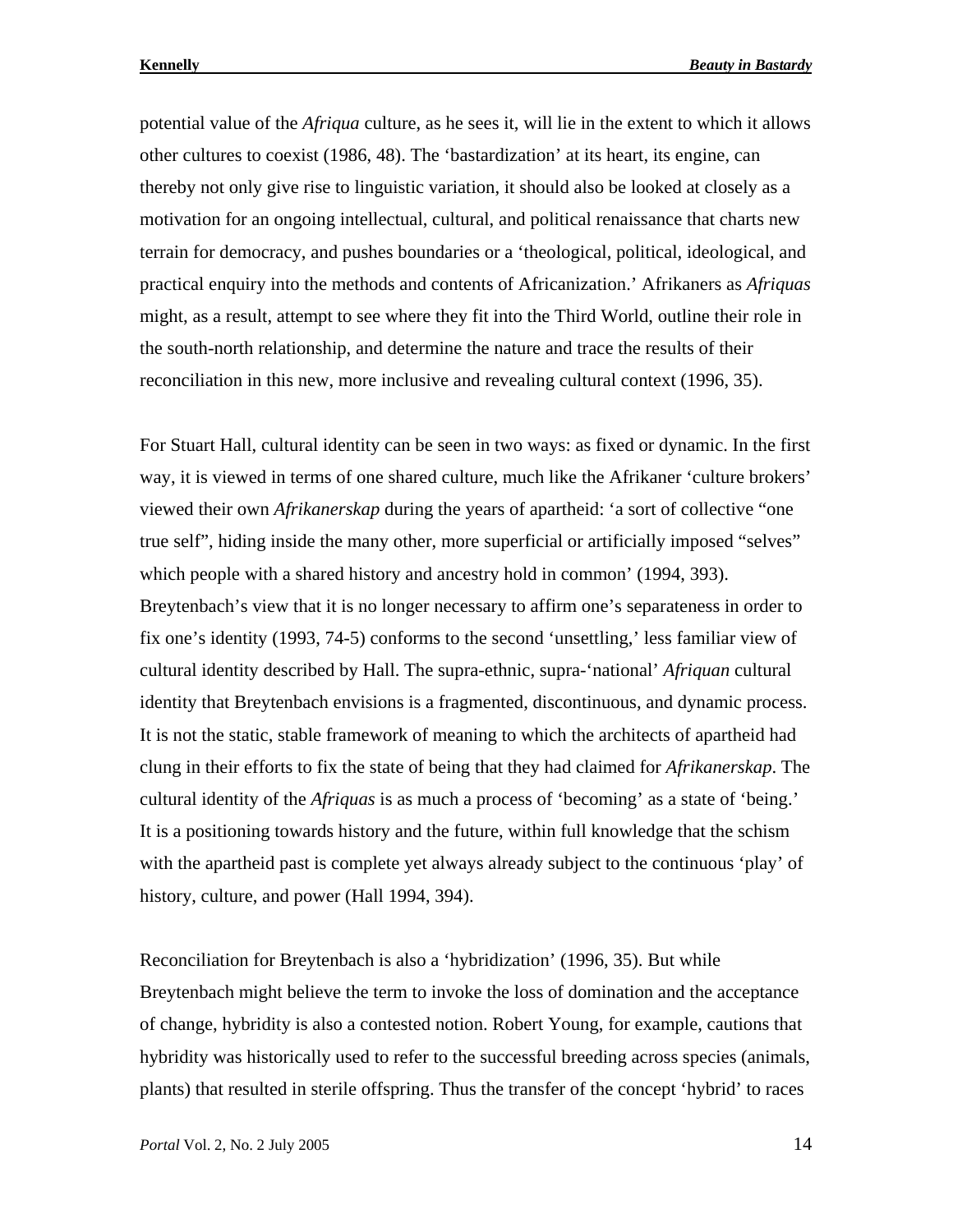potential value of the *Afriqua* culture, as he sees it, will lie in the extent to which it allows other cultures to coexist (1986, 48). The 'bastardization' at its heart, its engine, can thereby not only give rise to linguistic variation, it should also be looked at closely as a motivation for an ongoing intellectual, cultural, and political renaissance that charts new terrain for democracy, and pushes boundaries or a 'theological, political, ideological, and practical enquiry into the methods and contents of Africanization.' Afrikaners as *Afriquas* might, as a result, attempt to see where they fit into the Third World, outline their role in the south-north relationship, and determine the nature and trace the results of their reconciliation in this new, more inclusive and revealing cultural context (1996, 35).

For Stuart Hall, cultural identity can be seen in two ways: as fixed or dynamic. In the first way, it is viewed in terms of one shared culture, much like the Afrikaner 'culture brokers' viewed their own *Afrikanerskap* during the years of apartheid: 'a sort of collective "one true self", hiding inside the many other, more superficial or artificially imposed "selves" which people with a shared history and ancestry hold in common' (1994, 393). Breytenbach's view that it is no longer necessary to affirm one's separateness in order to fix one's identity (1993, 74-5) conforms to the second 'unsettling,' less familiar view of cultural identity described by Hall. The supra-ethnic, supra-'national' *Afriquan* cultural identity that Breytenbach envisions is a fragmented, discontinuous, and dynamic process. It is not the static, stable framework of meaning to which the architects of apartheid had clung in their efforts to fix the state of being that they had claimed for *Afrikanerskap*. The cultural identity of the *Afriquas* is as much a process of 'becoming' as a state of 'being.' It is a positioning towards history and the future, within full knowledge that the schism with the apartheid past is complete yet always already subject to the continuous 'play' of history, culture, and power (Hall 1994, 394).

Reconciliation for Breytenbach is also a 'hybridization' (1996, 35). But while Breytenbach might believe the term to invoke the loss of domination and the acceptance of change, hybridity is also a contested notion. Robert Young, for example, cautions that hybridity was historically used to refer to the successful breeding across species (animals, plants) that resulted in sterile offspring. Thus the transfer of the concept 'hybrid' to races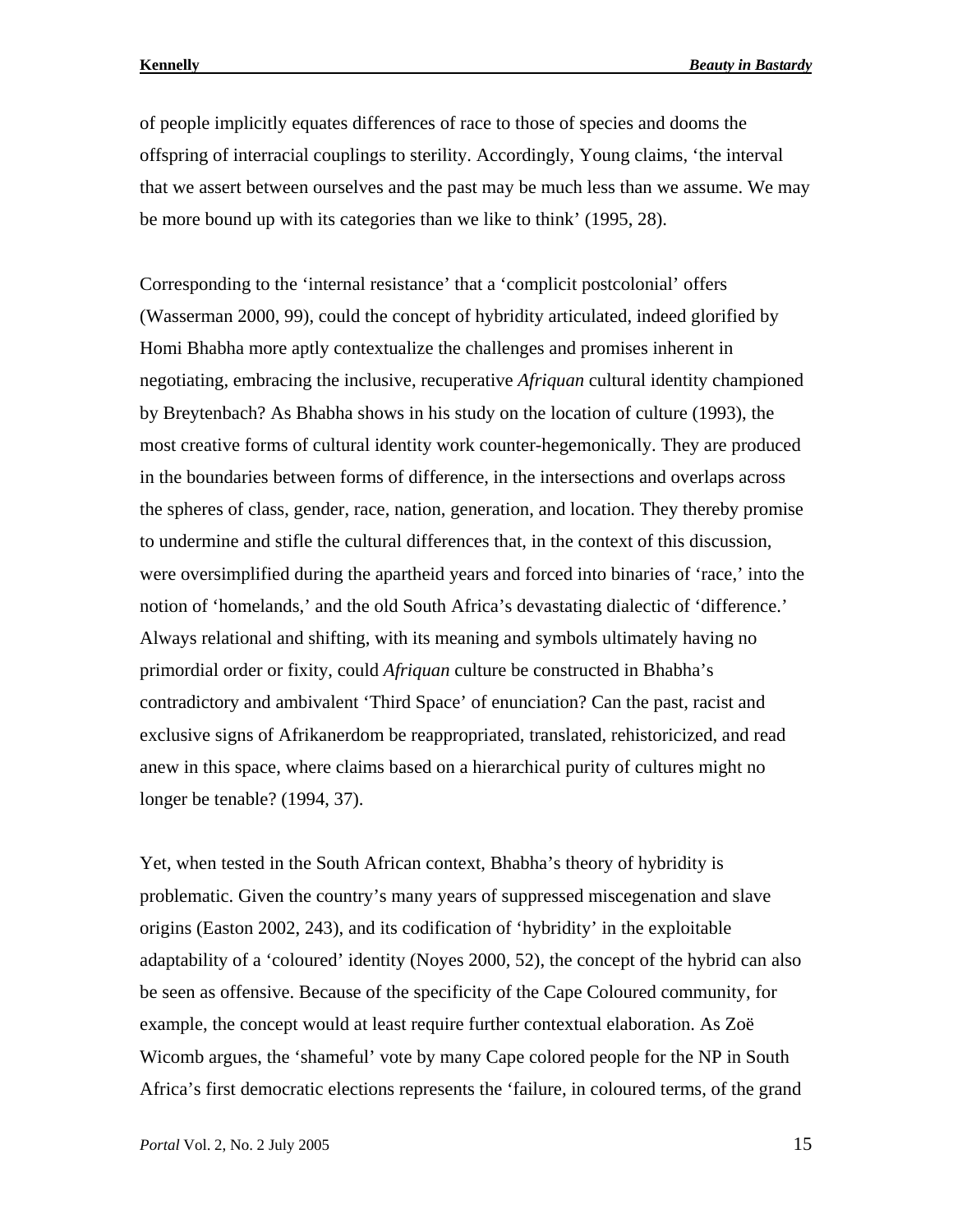of people implicitly equates differences of race to those of species and dooms the offspring of interracial couplings to sterility. Accordingly, Young claims, 'the interval that we assert between ourselves and the past may be much less than we assume. We may be more bound up with its categories than we like to think' (1995, 28).

Corresponding to the 'internal resistance' that a 'complicit postcolonial' offers (Wasserman 2000, 99), could the concept of hybridity articulated, indeed glorified by Homi Bhabha more aptly contextualize the challenges and promises inherent in negotiating, embracing the inclusive, recuperative *Afriquan* cultural identity championed by Breytenbach? As Bhabha shows in his study on the location of culture (1993), the most creative forms of cultural identity work counter-hegemonically. They are produced in the boundaries between forms of difference, in the intersections and overlaps across the spheres of class, gender, race, nation, generation, and location. They thereby promise to undermine and stifle the cultural differences that, in the context of this discussion, were oversimplified during the apartheid years and forced into binaries of 'race,' into the notion of 'homelands,' and the old South Africa's devastating dialectic of 'difference.' Always relational and shifting, with its meaning and symbols ultimately having no primordial order or fixity, could *Afriquan* culture be constructed in Bhabha's contradictory and ambivalent 'Third Space' of enunciation? Can the past, racist and exclusive signs of Afrikanerdom be reappropriated, translated, rehistoricized, and read anew in this space, where claims based on a hierarchical purity of cultures might no longer be tenable? (1994, 37).

Yet, when tested in the South African context, Bhabha's theory of hybridity is problematic. Given the country's many years of suppressed miscegenation and slave origins (Easton 2002, 243), and its codification of 'hybridity' in the exploitable adaptability of a 'coloured' identity (Noyes 2000, 52), the concept of the hybrid can also be seen as offensive. Because of the specificity of the Cape Coloured community, for example, the concept would at least require further contextual elaboration. As Zoë Wicomb argues, the 'shameful' vote by many Cape colored people for the NP in South Africa's first democratic elections represents the 'failure, in coloured terms, of the grand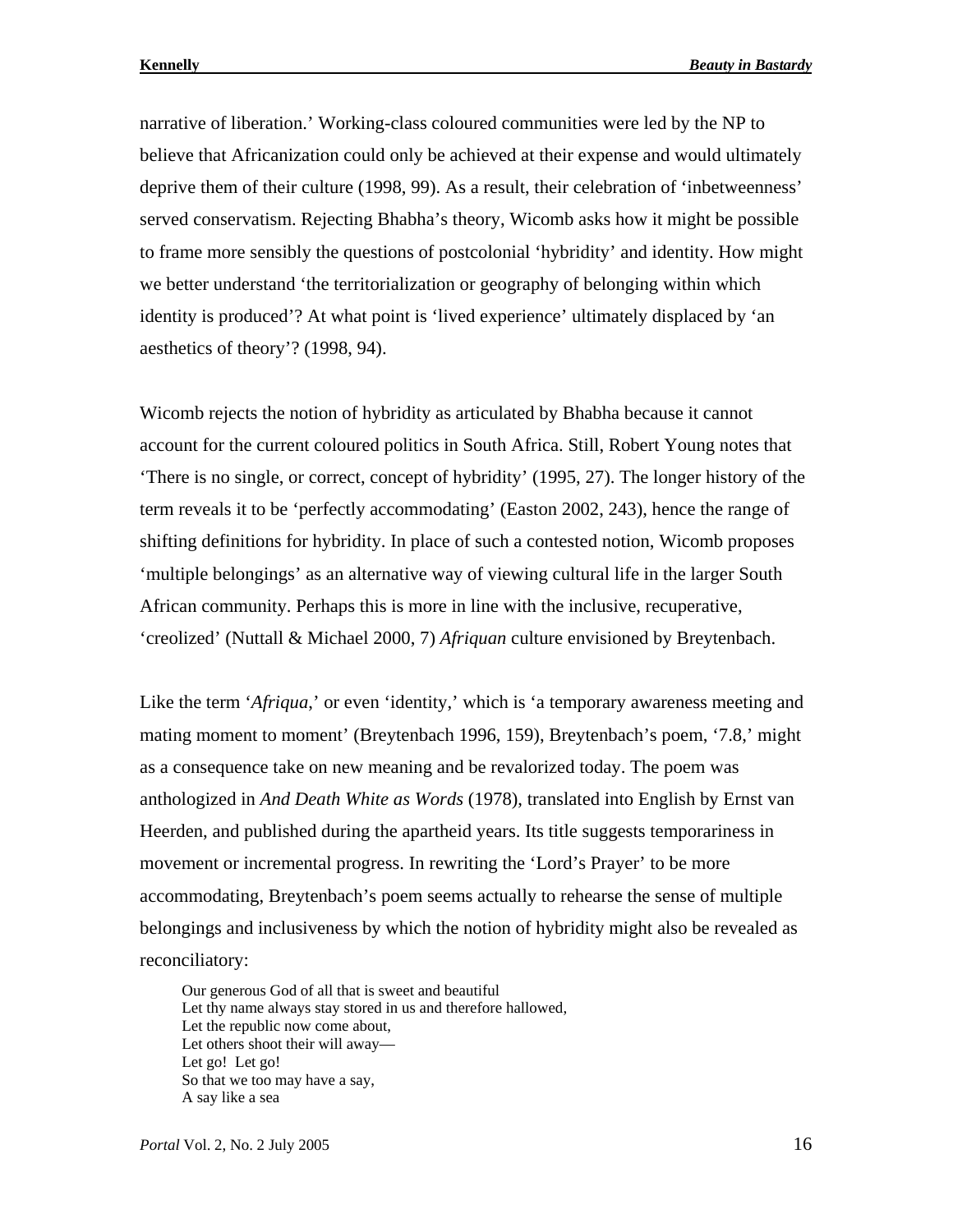narrative of liberation.' Working-class coloured communities were led by the NP to believe that Africanization could only be achieved at their expense and would ultimately deprive them of their culture (1998, 99). As a result, their celebration of 'inbetweenness' served conservatism. Rejecting Bhabha's theory, Wicomb asks how it might be possible to frame more sensibly the questions of postcolonial 'hybridity' and identity. How might we better understand 'the territorialization or geography of belonging within which identity is produced'? At what point is 'lived experience' ultimately displaced by 'an aesthetics of theory'? (1998, 94).

Wicomb rejects the notion of hybridity as articulated by Bhabha because it cannot account for the current coloured politics in South Africa. Still, Robert Young notes that 'There is no single, or correct, concept of hybridity' (1995, 27). The longer history of the term reveals it to be 'perfectly accommodating' (Easton 2002, 243), hence the range of shifting definitions for hybridity. In place of such a contested notion, Wicomb proposes 'multiple belongings' as an alternative way of viewing cultural life in the larger South African community. Perhaps this is more in line with the inclusive, recuperative, 'creolized' (Nuttall & Michael 2000, 7) *Afriquan* culture envisioned by Breytenbach.

Like the term '*Afriqua*,' or even 'identity,' which is 'a temporary awareness meeting and mating moment to moment' (Breytenbach 1996, 159), Breytenbach's poem, '7.8,' might as a consequence take on new meaning and be revalorized today. The poem was anthologized in *And Death White as Words* (1978), translated into English by Ernst van Heerden, and published during the apartheid years. Its title suggests temporariness in movement or incremental progress. In rewriting the 'Lord's Prayer' to be more accommodating, Breytenbach's poem seems actually to rehearse the sense of multiple belongings and inclusiveness by which the notion of hybridity might also be revealed as reconciliatory:

Our generous God of all that is sweet and beautiful Let thy name always stay stored in us and therefore hallowed, Let the republic now come about, Let others shoot their will away— Let go! Let go! So that we too may have a say, A say like a sea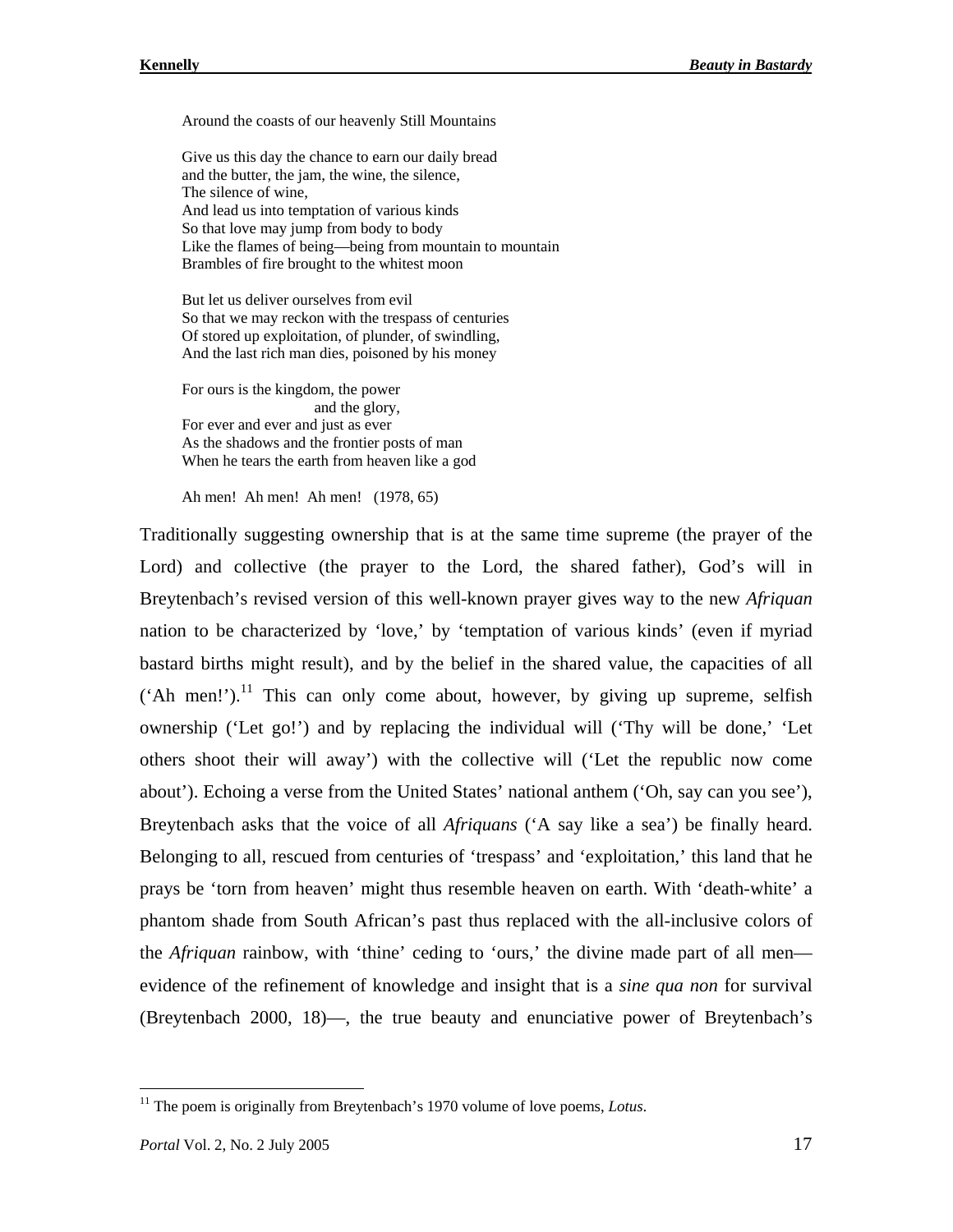Around the coasts of our heavenly Still Mountains

Give us this day the chance to earn our daily bread and the butter, the jam, the wine, the silence, The silence of wine, And lead us into temptation of various kinds So that love may jump from body to body Like the flames of being—being from mountain to mountain Brambles of fire brought to the whitest moon

But let us deliver ourselves from evil So that we may reckon with the trespass of centuries Of stored up exploitation, of plunder, of swindling, And the last rich man dies, poisoned by his money

For ours is the kingdom, the power and the glory, For ever and ever and just as ever As the shadows and the frontier posts of man When he tears the earth from heaven like a god

Ah men! Ah men! Ah men! (1978, 65)

Traditionally suggesting ownership that is at the same time supreme (the prayer of the Lord) and collective (the prayer to the Lord, the shared father), God's will in Breytenbach's revised version of this well-known prayer gives way to the new *Afriquan* nation to be characterized by 'love,' by 'temptation of various kinds' (even if myriad bastard births might result), and by the belief in the shared value, the capacities of all ('Ah men!').<sup>11</sup> This can only come about, however, by giving up supreme, selfish ownership ('Let go!') and by replacing the individual will ('Thy will be done,' 'Let others shoot their will away') with the collective will ('Let the republic now come about'). Echoing a verse from the United States' national anthem ('Oh, say can you see'), Breytenbach asks that the voice of all *Afriquans* ('A say like a sea') be finally heard. Belonging to all, rescued from centuries of 'trespass' and 'exploitation,' this land that he prays be 'torn from heaven' might thus resemble heaven on earth. With 'death-white' a phantom shade from South African's past thus replaced with the all-inclusive colors of the *Afriquan* rainbow, with 'thine' ceding to 'ours,' the divine made part of all men evidence of the refinement of knowledge and insight that is a *sine qua non* for survival (Breytenbach 2000, 18)—, the true beauty and enunciative power of Breytenbach's

<span id="page-16-0"></span><sup>&</sup>lt;sup>11</sup> The poem is originally from Breytenbach's 1970 volume of love poems, *Lotus*.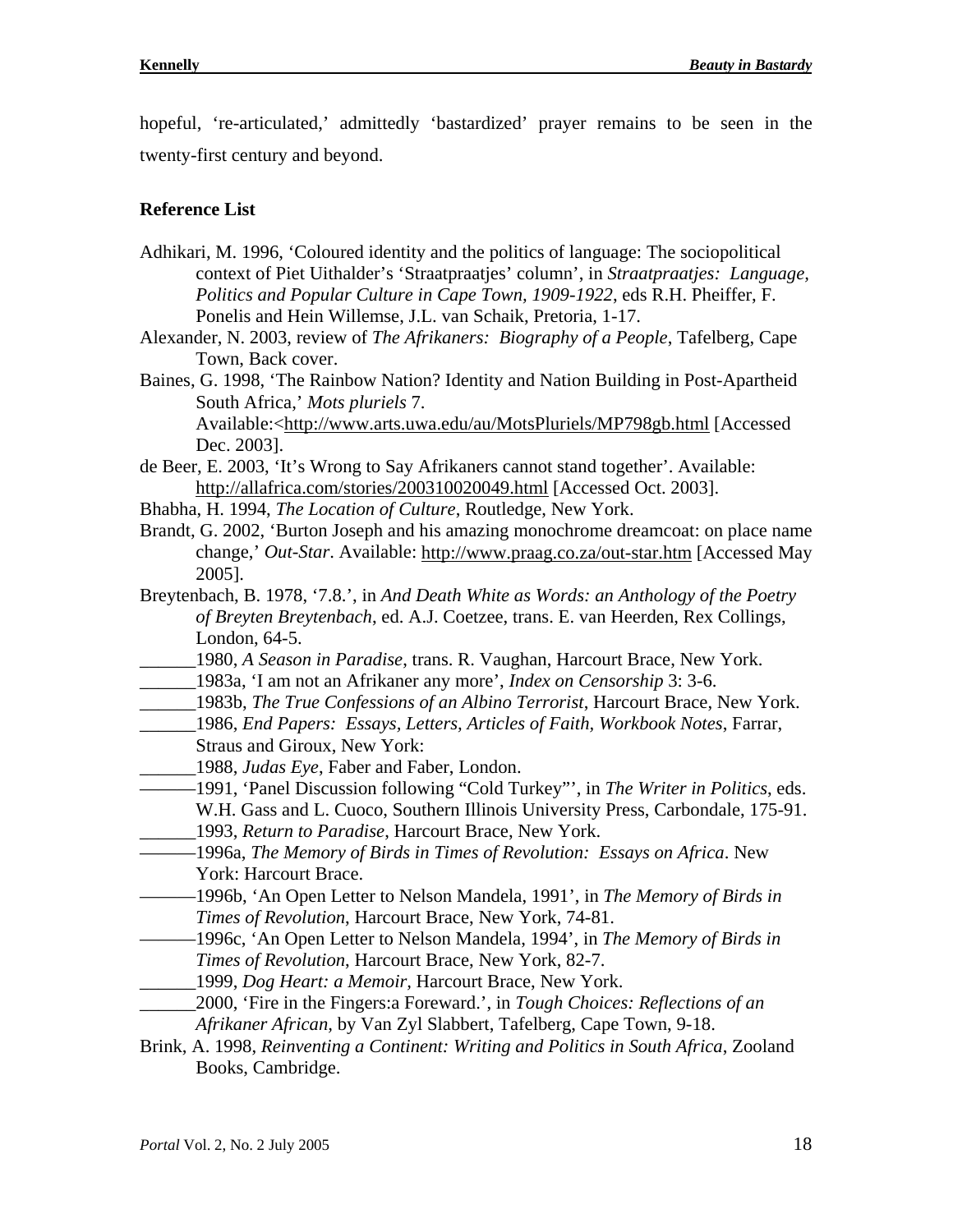hopeful, 're-articulated,' admittedly 'bastardized' prayer remains to be seen in the twenty-first century and beyond.

## **Reference List**

- Adhikari, M. 1996, 'Coloured identity and the politics of language: The sociopolitical context of Piet Uithalder's 'Straatpraatjes' column', in *Straatpraatjes: Language, Politics and Popular Culture in Cape Town, 1909-1922*, eds R.H. Pheiffer, F. Ponelis and Hein Willemse, J.L. van Schaik, Pretoria, 1-17.
- Alexander, N. 2003, review of *The Afrikaners: Biography of a People*, Tafelberg, Cape Town, Back cover.
- Baines, G. 1998, 'The Rainbow Nation? Identity and Nation Building in Post-Apartheid South Africa,' *Mots pluriels* 7.

Available:<<http://www.arts.uwa.edu/au/MotsPluriels/MP798gb.html>[Accessed Dec. 2003].

- de Beer, E. 2003, 'It's Wrong to Say Afrikaners cannot stand together'. Available: <http://allafrica.com/stories/200310020049.html> [Accessed Oct. 2003].
- Bhabha, H. 1994, *The Location of Culture*, Routledge, New York.
- Brandt, G. 2002, 'Burton Joseph and his amazing monochrome dreamcoat: on place name change,' *Out-Star*. Available: <http://www.praag.co.za/out-star.htm>[Accessed May 2005].
- Breytenbach, B. 1978, '7.8.', in *And Death White as Words: an Anthology of the Poetry of Breyten Breytenbach*, ed. A.J. Coetzee, trans. E. van Heerden, Rex Collings, London, 64-5.
- \_\_\_\_\_\_1980, *A Season in Paradise*, trans. R. Vaughan, Harcourt Brace, New York.
- \_\_\_\_\_\_1983a, 'I am not an Afrikaner any more', *Index on Censorship* 3: 3-6.
- \_\_\_\_\_\_1983b, *The True Confessions of an Albino Terrorist*, Harcourt Brace, New York.
- \_\_\_\_\_\_1986, *End Papers: Essays, Letters, Articles of Faith, Workbook Notes*, Farrar, Straus and Giroux, New York:
- \_\_\_\_\_\_1988, *Judas Eye*, Faber and Faber, London.
- ———1991, 'Panel Discussion following "Cold Turkey"', in *The Writer in Politics*, eds.
- W.H. Gass and L. Cuoco, Southern Illinois University Press, Carbondale, 175-91.
- \_\_\_\_\_\_1993, *Return to Paradise*, Harcourt Brace, New York.
- ———1996a, *The Memory of Birds in Times of Revolution: Essays on Africa*. New York: Harcourt Brace.
- ———1996b, 'An Open Letter to Nelson Mandela, 1991', in *The Memory of Birds in Times of Revolution*, Harcourt Brace, New York, 74-81.
- ———1996c, 'An Open Letter to Nelson Mandela, 1994', in *The Memory of Birds in Times of Revolution*, Harcourt Brace, New York, 82-7.
- \_\_\_\_\_\_1999, *Dog Heart: a Memoir,* Harcourt Brace, New York.
- \_\_\_\_\_\_2000, 'Fire in the Fingers:a Foreward.', in *Tough Choices: Reflections of an Afrikaner African,* by Van Zyl Slabbert, Tafelberg, Cape Town, 9-18.
- Brink, A. 1998, *Reinventing a Continent: Writing and Politics in South Africa*, Zooland Books, Cambridge.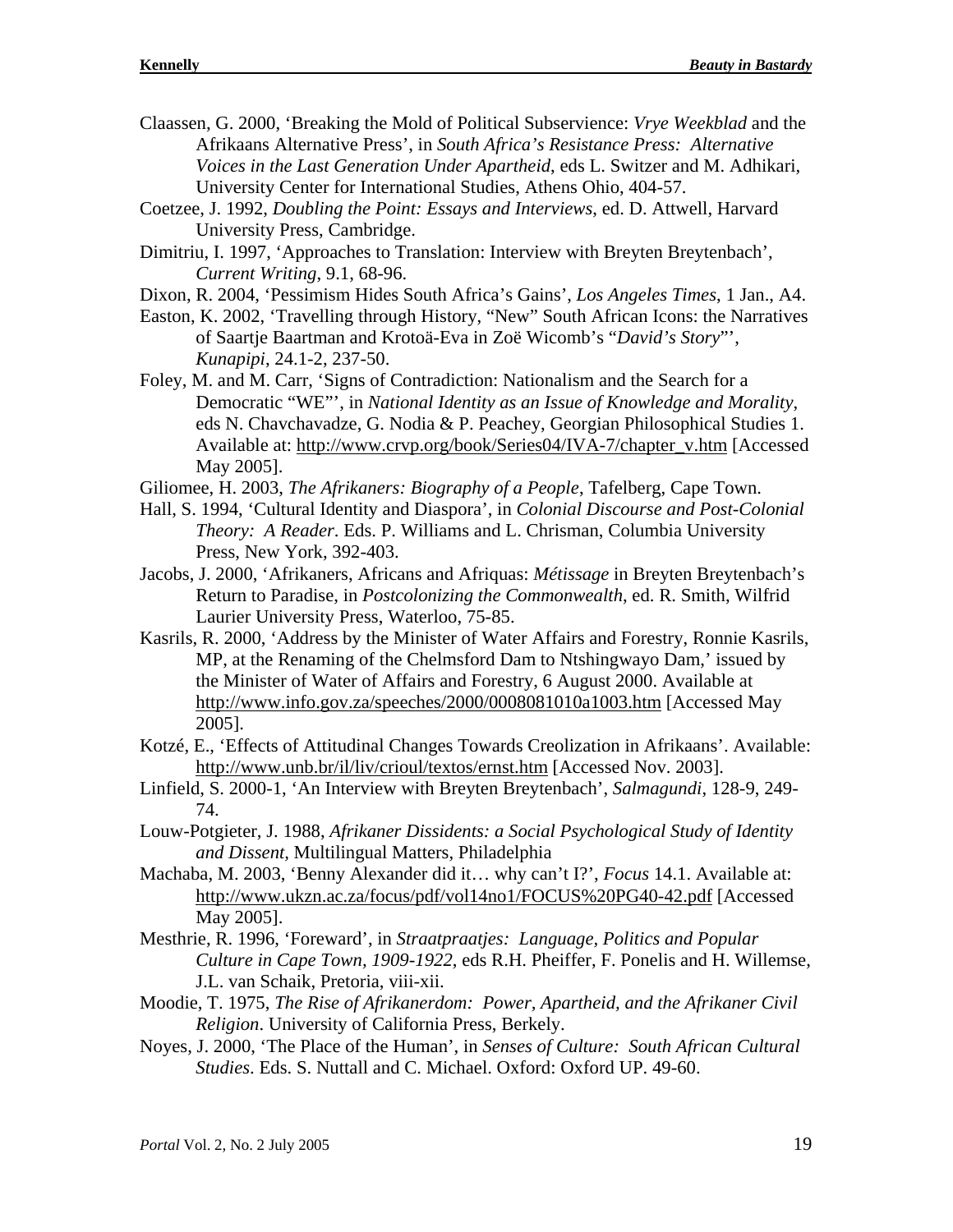- Claassen, G. 2000, 'Breaking the Mold of Political Subservience: *Vrye Weekblad* and the Afrikaans Alternative Press', in *South Africa's Resistance Press: Alternative Voices in the Last Generation Under Apartheid*, eds L. Switzer and M. Adhikari, University Center for International Studies, Athens Ohio, 404-57.
- Coetzee, J. 1992, *Doubling the Point: Essays and Interviews*, ed. D. Attwell, Harvard University Press, Cambridge.
- Dimitriu, I. 1997, 'Approaches to Translation: Interview with Breyten Breytenbach', *Current Writing*, 9.1, 68-96.
- Dixon, R. 2004, 'Pessimism Hides South Africa's Gains', *Los Angeles Times*, 1 Jan., A4.
- Easton, K. 2002, 'Travelling through History, "New" South African Icons: the Narratives of Saartje Baartman and Krotoä-Eva in Zoë Wicomb's "*David's Story*"', *Kunapipi*, 24.1-2, 237-50.
- Foley, M. and M. Carr, 'Signs of Contradiction: Nationalism and the Search for a Democratic "WE"', in *National Identity as an Issue of Knowledge and Morality*, eds N. Chavchavadze, G. Nodia & P. Peachey, Georgian Philosophical Studies 1. Available at: [http://www.crvp.org/book/Series04/IVA-7/chapter\\_v.htm](http://www.crvp.org/book/Series04/IVA-7/chapter_v.htm) [Accessed May 2005].
- Giliomee, H. 2003, *The Afrikaners: Biography of a People*, Tafelberg, Cape Town.
- Hall, S. 1994, 'Cultural Identity and Diaspora', in *Colonial Discourse and Post-Colonial Theory: A Reader*. Eds. P. Williams and L. Chrisman, Columbia University Press, New York, 392-403.
- Jacobs, J. 2000, 'Afrikaners, Africans and Afriquas: *Métissage* in Breyten Breytenbach's Return to Paradise, in *Postcolonizing the Commonwealth*, ed. R. Smith, Wilfrid Laurier University Press, Waterloo, 75-85.
- Kasrils, R. 2000, 'Address by the Minister of Water Affairs and Forestry, Ronnie Kasrils, MP, at the Renaming of the Chelmsford Dam to Ntshingwayo Dam,' issued by the Minister of Water of Affairs and Forestry, 6 August 2000. Available at <http://www.info.gov.za/speeches/2000/0008081010a1003.htm> [Accessed May 2005].
- Kotzé, E., 'Effects of Attitudinal Changes Towards Creolization in Afrikaans'. Available: <http://www.unb.br/il/liv/crioul/textos/ernst.htm> [Accessed Nov. 2003].
- Linfield, S. 2000-1, 'An Interview with Breyten Breytenbach', *Salmagundi*, 128-9, 249- 74.
- Louw-Potgieter, J. 1988, *Afrikaner Dissidents: a Social Psychological Study of Identity and Dissent,* Multilingual Matters, Philadelphia
- Machaba, M. 2003, 'Benny Alexander did it… why can't I?', *Focus* 14.1. Available at: [http://www.ukzn.ac.za/focus/pdf/vol14no1/FOCUS%20PG40-42.pdf](http://www.ukzn.ac.za/focus/pdf/vol14no1/FOCUS PG40-42.pdf) [Accessed May 2005].
- Mesthrie, R. 1996, 'Foreward', in *Straatpraatjes: Language, Politics and Popular Culture in Cape Town, 1909-1922*, eds R.H. Pheiffer, F. Ponelis and H. Willemse, J.L. van Schaik, Pretoria, viii-xii.
- Moodie, T. 1975, *The Rise of Afrikanerdom: Power, Apartheid, and the Afrikaner Civil Religion*. University of California Press, Berkely.
- Noyes, J. 2000, 'The Place of the Human', in *Senses of Culture: South African Cultural Studies*. Eds. S. Nuttall and C. Michael. Oxford: Oxford UP. 49-60.